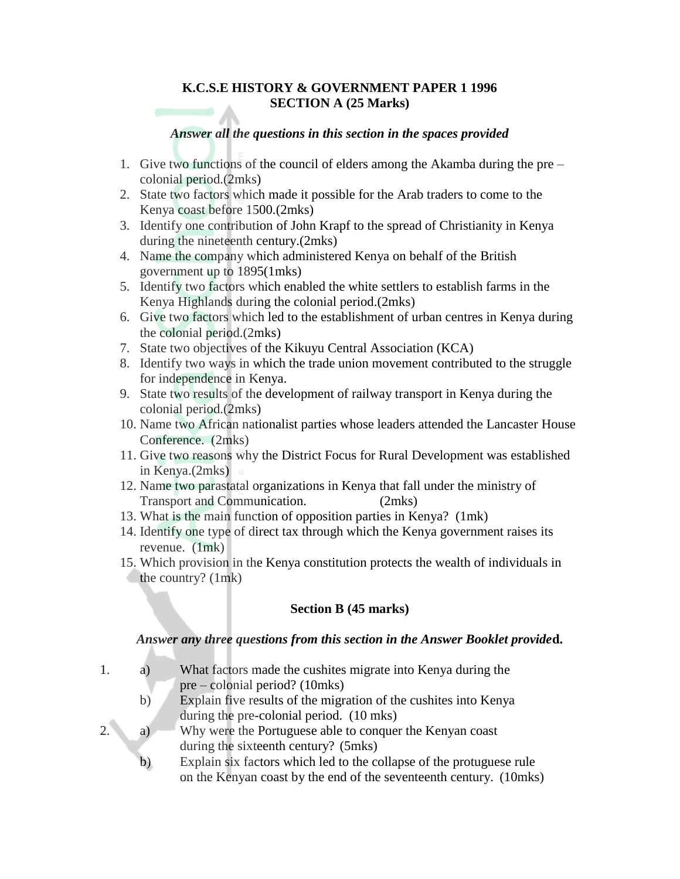#### **K.C.S.E HISTORY & GOVERNMENT PAPER 1 1996 SECTION A (25 Marks)**

#### *Answer all the questions in this section in the spaces provided*

- 1. Give two functions of the council of elders among the Akamba during the pre colonial period.(2mks)
- 2. State two factors which made it possible for the Arab traders to come to the Kenya coast before 1500.(2mks)
- 3. Identify one contribution of John Krapf to the spread of Christianity in Kenya during the nineteenth century.(2mks)
- 4. Name the company which administered Kenya on behalf of the British government up to 1895(1mks)
- 5. Identify two factors which enabled the white settlers to establish farms in the Kenya Highlands during the colonial period.(2mks)
- 6. Give two factors which led to the establishment of urban centres in Kenya during the colonial period.(2mks)
- 7. State two objectives of the Kikuyu Central Association (KCA)
- 8. Identify two ways in which the trade union movement contributed to the struggle for independence in Kenya.
- 9. State two results of the development of railway transport in Kenya during the colonial period.(2mks)
- 10. Name two African nationalist parties whose leaders attended the Lancaster House Conference. (2mks)
- 11. Give two reasons why the District Focus for Rural Development was established in Kenya.(2mks)
- 12. Name two parastatal organizations in Kenya that fall under the ministry of Transport and Communication. (2mks)
- 13. What is the main function of opposition parties in Kenya? (1mk)
- 14. Identify one type of direct tax through which the Kenya government raises its revenue. (1mk)
- 15. Which provision in the Kenya constitution protects the wealth of individuals in the country? (1mk)

## **Section B (45 marks)**

#### *Answer any three questions from this section in the Answer Booklet provide***d.**

- 1. a) What factors made the cushites migrate into Kenya during the pre – colonial period? (10mks)
	- b) Explain five results of the migration of the cushites into Kenya during the pre-colonial period. (10 mks)
- 2. a) Why were the Portuguese able to conquer the Kenyan coast during the sixteenth century? (5mks)
	- b) Explain six factors which led to the collapse of the protuguese rule on the Kenyan coast by the end of the seventeenth century. (10mks)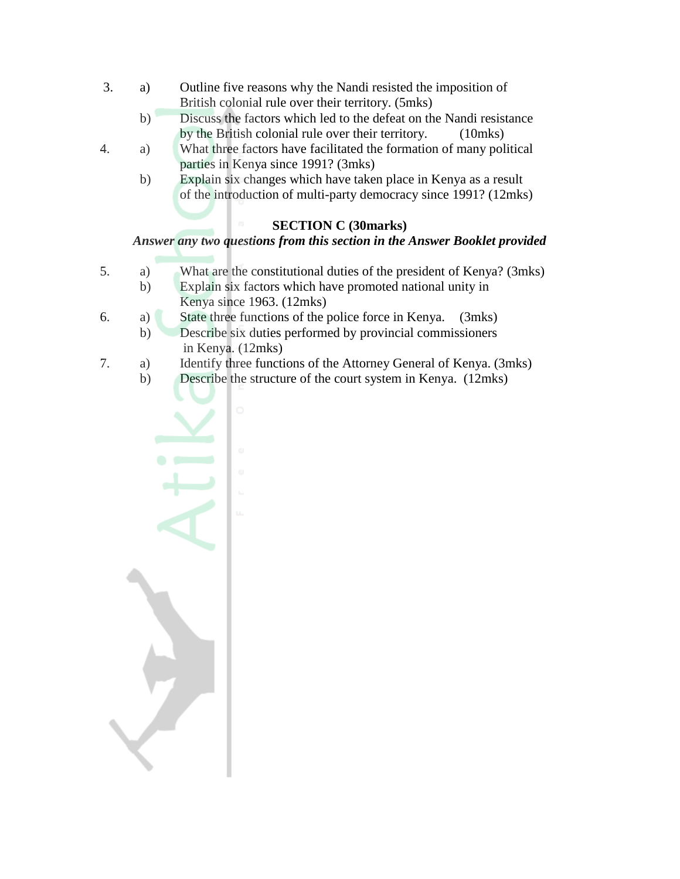- 3. a) Outline five reasons why the Nandi resisted the imposition of British colonial rule over their territory. (5mks)
	- b) Discuss the factors which led to the defeat on the Nandi resistance by the British colonial rule over their territory. (10mks)
- 4. a) What three factors have facilitated the formation of many political parties in Kenya since 1991? (3mks)
	- b) Explain six changes which have taken place in Kenya as a result of the introduction of multi-party democracy since 1991? (12mks)

# **SECTION C (30marks)**

# *Answer any two questions from this section in the Answer Booklet provided*

- 5. a) What are the constitutional duties of the president of Kenya? (3mks)
	- b) Explain six factors which have promoted national unity in Kenya since 1963. (12mks)
- 6. a) State three functions of the police force in Kenya. (3mks)
	- b) Describe six duties performed by provincial commissioners in Kenya. (12mks)
- 7. a) Identify three functions of the Attorney General of Kenya. (3mks)
	- b) Describe the structure of the court system in Kenya. (12mks)

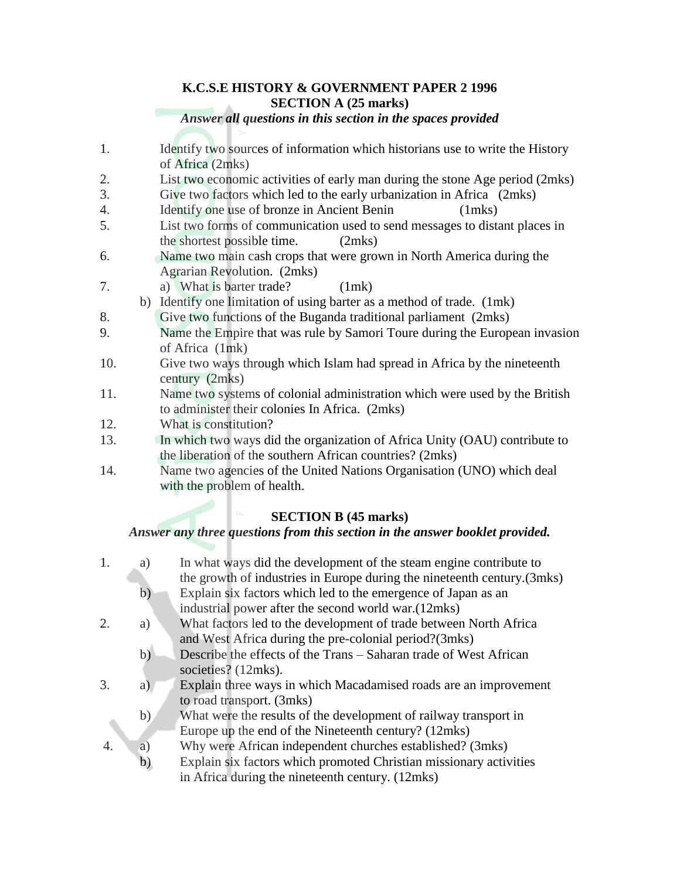# **K.C.S.E HISTORY & GOVERNMENT PAPER 2 1996 SECTION A (25 marks)**

#### *Answer all questions in this section in the spaces provided*

- 1. Identify two sources of information which historians use to write the History of Africa (2mks)
- 2. List two economic activities of early man during the stone Age period (2mks)
- 3. Give two factors which led to the early urbanization in Africa (2mks)
- 4. Identify one use of bronze in Ancient Benin (1mks)
- 5. List two forms of communication used to send messages to distant places in the shortest possible time. (2mks)
- 6. Name two main cash crops that were grown in North America during the Agrarian Revolution. (2mks)
- 7. a) What is barter trade? (1mk)
- b) Identify one limitation of using barter as a method of trade. (1mk)
- 8. Give two functions of the Buganda traditional parliament (2mks)
- 9. Name the Empire that was rule by Samori Toure during the European invasion of Africa (1mk)
- 10. Give two ways through which Islam had spread in Africa by the nineteenth century (2mks)
- 11. Name two systems of colonial administration which were used by the British to administer their colonies In Africa. (2mks)
- 12. What is constitution?
- 13. In which two ways did the organization of Africa Unity (OAU) contribute to the liberation of the southern African countries? (2mks)
- 14. Name two agencies of the United Nations Organisation (UNO) which deal with the problem of health.

# **SECTION B (45 marks)**

## *Answer any three questions from this section in the answer booklet provided.*

| 1. | a)           | In what ways did the development of the steam engine contribute to       |
|----|--------------|--------------------------------------------------------------------------|
|    |              | the growth of industries in Europe during the nineteenth century. (3mks) |
|    | $\mathbf{b}$ | Explain six factors which led to the emergence of Japan as an            |
|    |              | industrial power after the second world war.(12mks)                      |
| 2. | a)           | What factors led to the development of trade between North Africa        |
|    |              | and West Africa during the pre-colonial period?(3mks)                    |
|    | b)           | Describe the effects of the Trans – Saharan trade of West African        |
|    |              | societies? (12mks).                                                      |
| 3. | a)           | Explain three ways in which Macadamised roads are an improvement         |
|    |              | to road transport. (3mks)                                                |
|    | b)           | What were the results of the development of railway transport in         |
|    |              | Europe up the end of the Nineteenth century? (12mks)                     |
| 4. | a)           | Why were African independent churches established? (3mks)                |
|    | b)           | Explain six factors which promoted Christian missionary activities       |
|    |              | in Africa during the nineteenth century. (12mks)                         |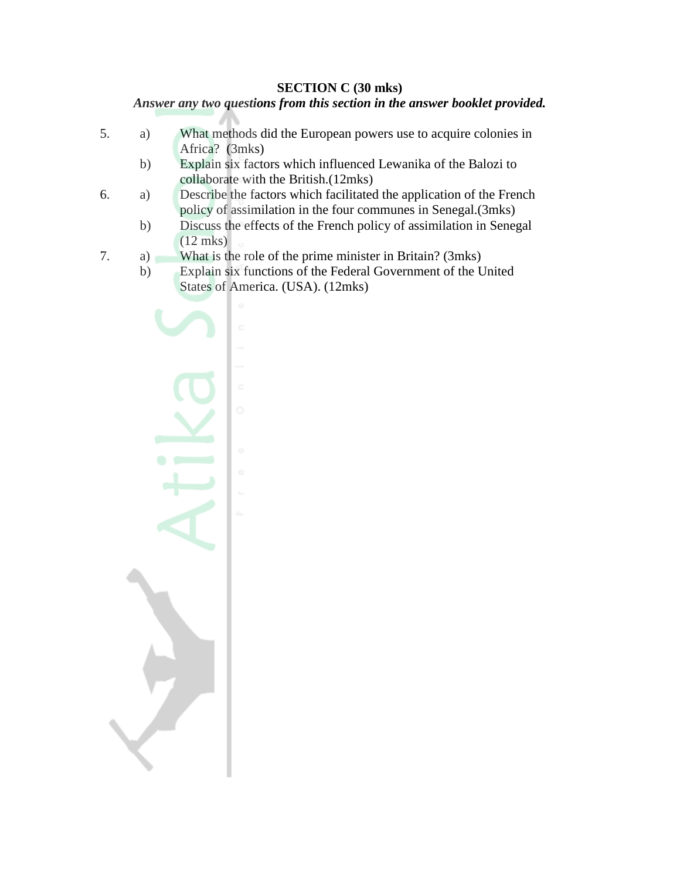#### **SECTION C (30 mks)**

# *Answer any two questions from this section in the answer booklet provided.*

- 5. a) What methods did the European powers use to acquire colonies in Africa? (3mks)
	- b) Explain six factors which influenced Lewanika of the Balozi to collaborate with the British.(12mks)
- 6. a) Describe the factors which facilitated the application of the French policy of assimilation in the four communes in Senegal.(3mks)
	- b) Discuss the effects of the French policy of assimilation in Senegal (12 mks)
- 7. a) What is the role of the prime minister in Britain? (3mks)
	- b) Explain six functions of the Federal Government of the United States of America. (USA). (12mks)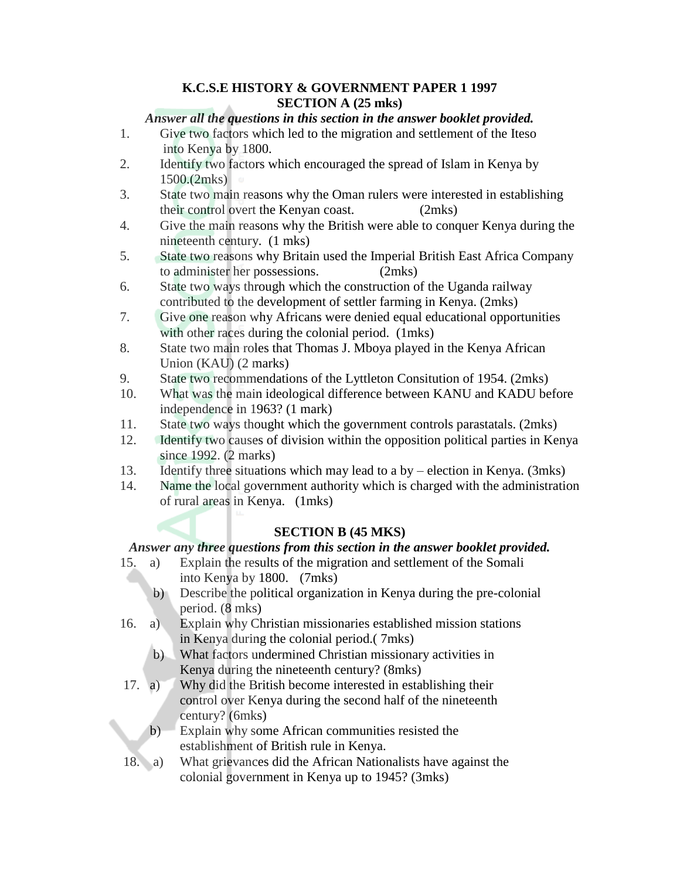# **K.C.S.E HISTORY & GOVERNMENT PAPER 1 1997 SECTION A (25 mks)**

# *Answer all the questions in this section in the answer booklet provided.*

- 1. Give two factors which led to the migration and settlement of the Iteso into Kenya by 1800.
- 2. Identify two factors which encouraged the spread of Islam in Kenya by 1500.(2mks)
- 3. State two main reasons why the Oman rulers were interested in establishing their control overt the Kenyan coast. (2mks)
- 4. Give the main reasons why the British were able to conquer Kenya during the nineteenth century. (1 mks)
- 5. State two reasons why Britain used the Imperial British East Africa Company to administer her possessions. (2mks)
- 6. State two ways through which the construction of the Uganda railway contributed to the development of settler farming in Kenya. (2mks)
- 7. Give one reason why Africans were denied equal educational opportunities with other races during the colonial period. (1mks)
- 8. State two main roles that Thomas J. Mboya played in the Kenya African Union (KAU) (2 marks)
- 9. State two recommendations of the Lyttleton Consitution of 1954. (2mks)
- 10. What was the main ideological difference between KANU and KADU before independence in 1963? (1 mark)
- 11. State two ways thought which the government controls parastatals. (2mks)
- 12. Identify two causes of division within the opposition political parties in Kenya since 1992. (2 marks)
- 13. Identify three situations which may lead to a by election in Kenya. (3mks)
- 14. Name the local government authority which is charged with the administration of rural areas in Kenya. (1mks)

# **SECTION B (45 MKS)**

# *Answer any three questions from this section in the answer booklet provided.*

- 15. a) Explain the results of the migration and settlement of the Somali into Kenya by 1800. (7mks)
	- b) Describe the political organization in Kenya during the pre-colonial period. (8 mks)
- 16. a) Explain why Christian missionaries established mission stations in Kenya during the colonial period.( 7mks)
	- b) What factors undermined Christian missionary activities in Kenya during the nineteenth century? (8mks)
- 17. a) Why did the British become interested in establishing their control over Kenya during the second half of the nineteenth century? (6mks)
	- b) Explain why some African communities resisted the establishment of British rule in Kenya.
- 18. a) What grievances did the African Nationalists have against the colonial government in Kenya up to 1945? (3mks)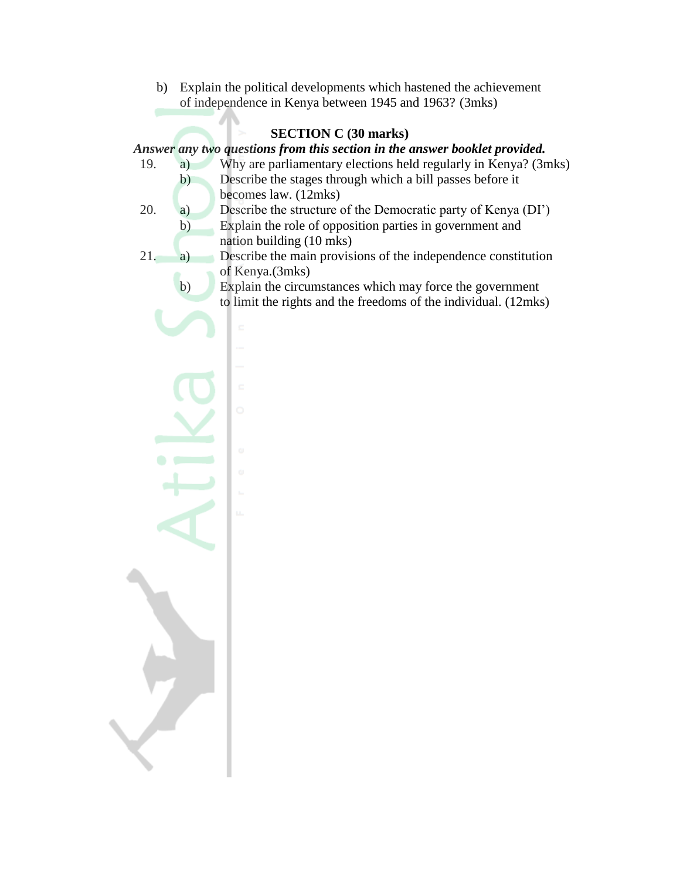b) Explain the political developments which hastened the achievement of independence in Kenya between 1945 and 1963? (3mks)

## **SECTION C (30 marks)**

#### *Answer any two questions from this section in the answer booklet provided.*

- 19. a) Why are parliamentary elections held regularly in Kenya? (3mks) b) Describe the stages through which a bill passes before it
	- becomes law. (12mks)
- 20. a) Describe the structure of the Democratic party of Kenya (DI") b) Explain the role of opposition parties in government and nation building (10 mks)
- 21. a) Describe the main provisions of the independence constitution of Kenya.(3mks)
	- b) Explain the circumstances which may force the government to limit the rights and the freedoms of the individual. (12mks)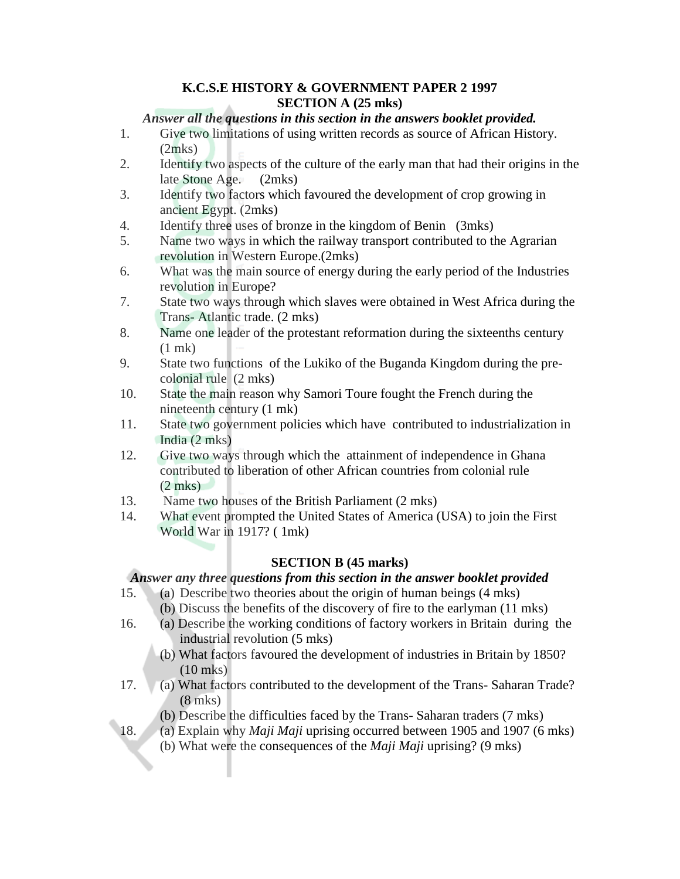## **K.C.S.E HISTORY & GOVERNMENT PAPER 2 1997 SECTION A (25 mks)**

## *Answer all the questions in this section in the answers booklet provided.*

- 1. Give two limitations of using written records as source of African History. (2mks)
- 2. Identify two aspects of the culture of the early man that had their origins in the late Stone Age. (2mks)
- 3. Identify two factors which favoured the development of crop growing in ancient Egypt. (2mks)
- 4. Identify three uses of bronze in the kingdom of Benin (3mks)
- 5. Name two ways in which the railway transport contributed to the Agrarian revolution in Western Europe.(2mks)
- 6. What was the main source of energy during the early period of the Industries revolution in Europe?
- 7. State two ways through which slaves were obtained in West Africa during the Trans- Atlantic trade. (2 mks)
- 8. Name one leader of the protestant reformation during the sixteenths century (1 mk)
- 9. State two functions of the Lukiko of the Buganda Kingdom during the precolonial rule (2 mks)
- 10. State the main reason why Samori Toure fought the French during the nineteenth century (1 mk)
- 11. State two government policies which have contributed to industrialization in India (2 mks)
- 12. Give two ways through which the attainment of independence in Ghana contributed to liberation of other African countries from colonial rule  $(2 \text{ mks})$
- 13. Name two houses of the British Parliament (2 mks)
- 14. What event prompted the United States of America (USA) to join the First World War in 1917? ( 1mk)

## **SECTION B (45 marks)**

# *Answer any three questions from this section in the answer booklet provided*

- 15. (a) Describe two theories about the origin of human beings (4 mks)
	- (b) Discuss the benefits of the discovery of fire to the earlyman (11 mks)
- 16. (a) Describe the working conditions of factory workers in Britain during the industrial revolution (5 mks)
	- (b) What factors favoured the development of industries in Britain by 1850? (10 mks)
- 17. (a) What factors contributed to the development of the Trans- Saharan Trade? (8 mks)
	- (b) Describe the difficulties faced by the Trans- Saharan traders (7 mks)
- 18. (a) Explain why *Maji Maji* uprising occurred between 1905 and 1907 (6 mks)
	- (b) What were the consequences of the *Maji Maji* uprising? (9 mks)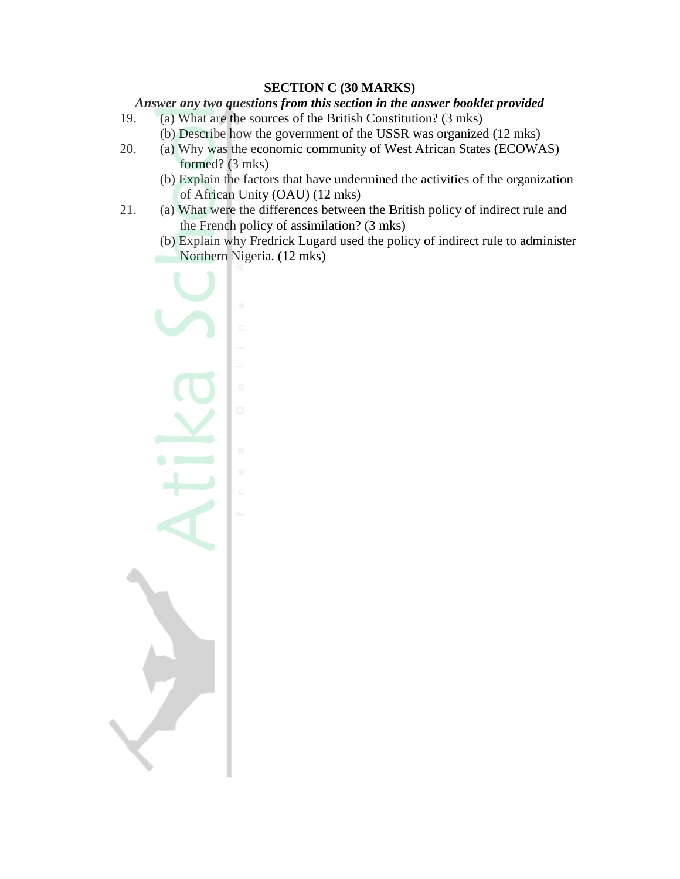## **SECTION C (30 MARKS)**

#### *Answer any two questions from this section in the answer booklet provided*

- 19. (a) What are the sources of the British Constitution? (3 mks)
	- (b) Describe how the government of the USSR was organized (12 mks)
- 20. (a) Why was the economic community of West African States (ECOWAS) formed? (3 mks)
	- (b) Explain the factors that have undermined the activities of the organization of African Unity (OAU) (12 mks)
- 21. (a) What were the differences between the British policy of indirect rule and the French policy of assimilation? (3 mks)
	- (b) Explain why Fredrick Lugard used the policy of indirect rule to administer Northern Nigeria. (12 mks)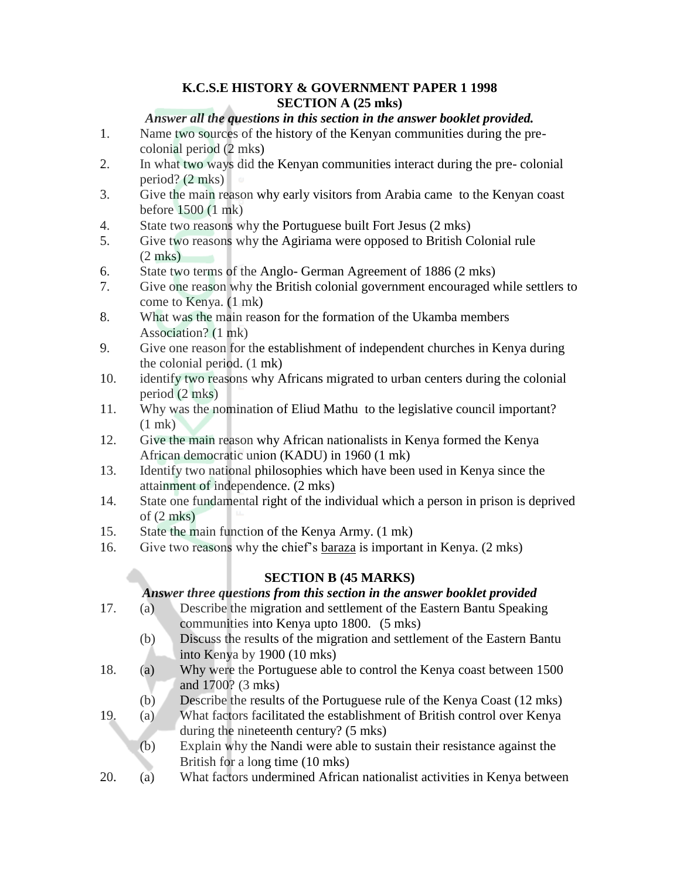# **K.C.S.E HISTORY & GOVERNMENT PAPER 1 1998 SECTION A (25 mks)**

# *Answer all the questions in this section in the answer booklet provided.*

- 1. Name two sources of the history of the Kenyan communities during the precolonial period (2 mks)
- 2. In what two ways did the Kenyan communities interact during the pre- colonial period? (2 mks)
- 3. Give the main reason why early visitors from Arabia came to the Kenyan coast before 1500 (1 mk)
- 4. State two reasons why the Portuguese built Fort Jesus (2 mks)
- 5. Give two reasons why the Agiriama were opposed to British Colonial rule (2 mks)
- 6. State two terms of the Anglo- German Agreement of 1886 (2 mks)
- 7. Give one reason why the British colonial government encouraged while settlers to come to Kenya. (1 mk)
- 8. What was the main reason for the formation of the Ukamba members Association? (1 mk)
- 9. Give one reason for the establishment of independent churches in Kenya during the colonial period. (1 mk)
- 10. identify two reasons why Africans migrated to urban centers during the colonial period (2 mks)
- 11. Why was the nomination of Eliud Mathu to the legislative council important? (1 mk)
- 12. Give the main reason why African nationalists in Kenya formed the Kenya African democratic union (KADU) in 1960 (1 mk)
- 13. Identify two national philosophies which have been used in Kenya since the attainment of independence. (2 mks)
- 14. State one fundamental right of the individual which a person in prison is deprived of  $(2 \text{ mks})$
- 15. State the main function of the Kenya Army. (1 mk)
- 16. Give two reasons why the chief"s baraza is important in Kenya. (2 mks)

# **SECTION B (45 MARKS)**

# *Answer three questions from this section in the answer booklet provided*

- 17. (a) Describe the migration and settlement of the Eastern Bantu Speaking communities into Kenya upto 1800. (5 mks)
	- (b) Discuss the results of the migration and settlement of the Eastern Bantu into Kenya by 1900 (10 mks)
- 18. (a) Why were the Portuguese able to control the Kenya coast between 1500 and 1700? (3 mks)
	- (b) Describe the results of the Portuguese rule of the Kenya Coast (12 mks)
- 19. (a) What factors facilitated the establishment of British control over Kenya during the nineteenth century? (5 mks)
	- (b) Explain why the Nandi were able to sustain their resistance against the British for a long time (10 mks)
- 20. (a) What factors undermined African nationalist activities in Kenya between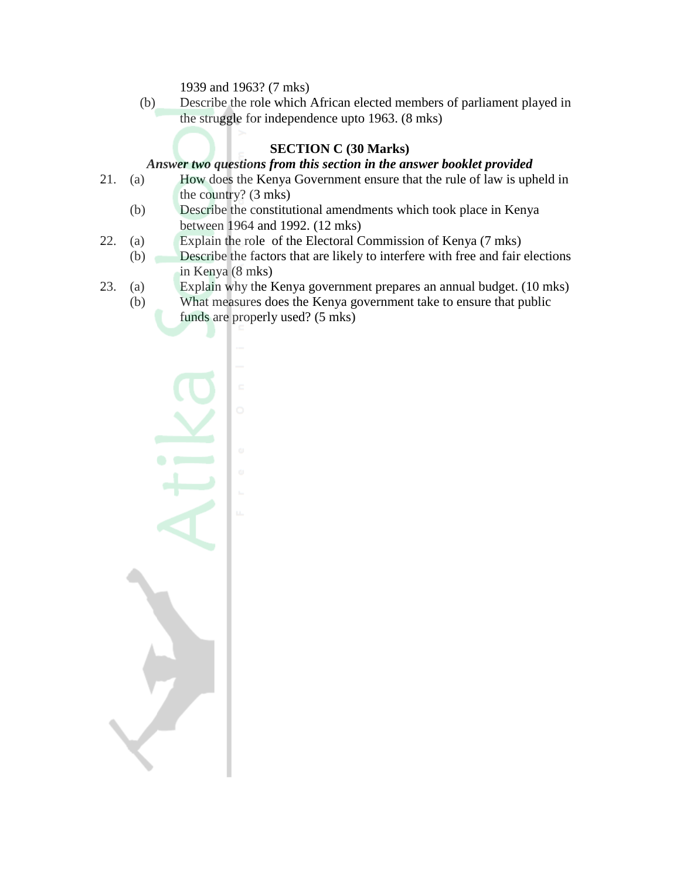1939 and 1963? (7 mks)

(b) Describe the role which African elected members of parliament played in the struggle for independence upto 1963. (8 mks)

# **SECTION C (30 Marks)**

#### *Answer two questions from this section in the answer booklet provided*

- 21. (a) How does the Kenya Government ensure that the rule of law is upheld in the country? (3 mks)
	- (b) Describe the constitutional amendments which took place in Kenya between 1964 and 1992. (12 mks)
- 22. (a) Explain the role of the Electoral Commission of Kenya (7 mks)
	- (b) Describe the factors that are likely to interfere with free and fair elections in Kenya (8 mks)
- 23. (a) Explain why the Kenya government prepares an annual budget. (10 mks)
	- (b) What measures does the Kenya government take to ensure that public funds are properly used? (5 mks)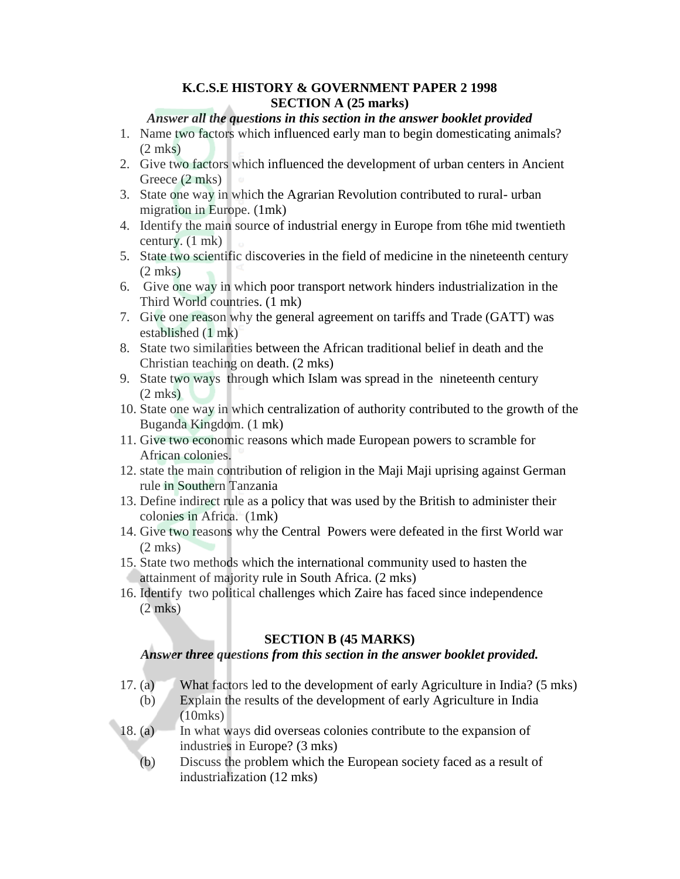## **K.C.S.E HISTORY & GOVERNMENT PAPER 2 1998 SECTION A (25 marks)**

#### *Answer all the questions in this section in the answer booklet provided*

- 1. Name two factors which influenced early man to begin domesticating animals? (2 mks)
- 2. Give two factors which influenced the development of urban centers in Ancient Greece (2 mks)
- 3. State one way in which the Agrarian Revolution contributed to rural- urban migration in Europe. (1mk)
- 4. Identify the main source of industrial energy in Europe from t6he mid twentieth century. (1 mk)
- 5. State two scientific discoveries in the field of medicine in the nineteenth century (2 mks)
- 6. Give one way in which poor transport network hinders industrialization in the Third World countries. (1 mk)
- 7. Give one reason why the general agreement on tariffs and Trade (GATT) was established (1 mk)
- 8. State two similarities between the African traditional belief in death and the Christian teaching on death. (2 mks)
- 9. State two ways through which Islam was spread in the nineteenth century (2 mks)
- 10. State one way in which centralization of authority contributed to the growth of the Buganda Kingdom. (1 mk)
- 11. Give two economic reasons which made European powers to scramble for African colonies.
- 12. state the main contribution of religion in the Maji Maji uprising against German rule in Southern Tanzania
- 13. Define indirect rule as a policy that was used by the British to administer their colonies in Africa. (1mk)
- 14. Give two reasons why the Central Powers were defeated in the first World war (2 mks)
- 15. State two methods which the international community used to hasten the attainment of majority rule in South Africa. (2 mks)
- 16. Identify two political challenges which Zaire has faced since independence (2 mks)

#### **SECTION B (45 MARKS)**

#### *Answer three questions from this section in the answer booklet provided.*

- 17. (a) What factors led to the development of early Agriculture in India? (5 mks)
	- (b) Explain the results of the development of early Agriculture in India (10mks)
- 18. (a) In what ways did overseas colonies contribute to the expansion of industries in Europe? (3 mks)
	- (b) Discuss the problem which the European society faced as a result of industrialization (12 mks)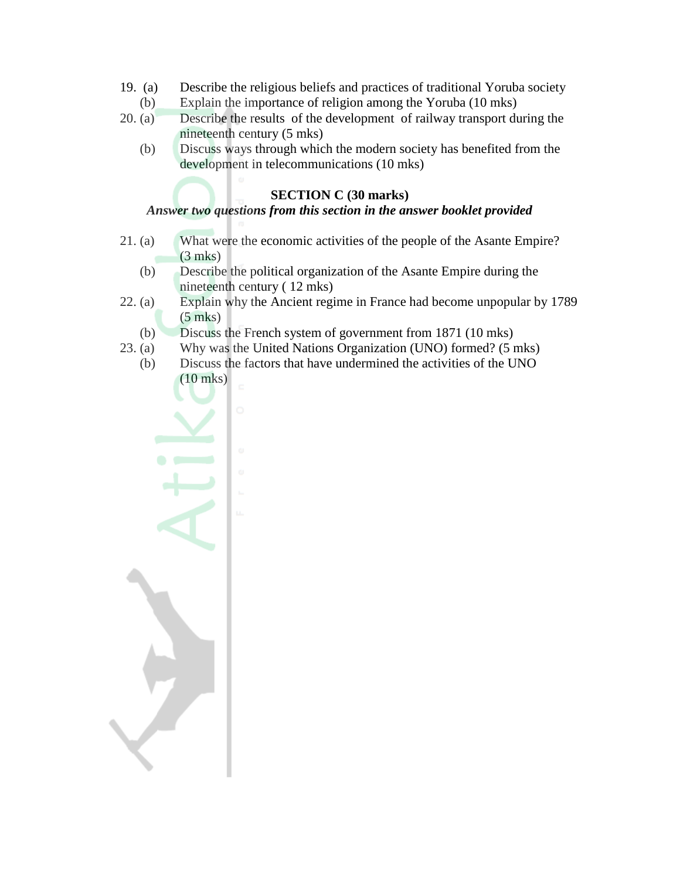- 19. (a) Describe the religious beliefs and practices of traditional Yoruba society
	- (b) Explain the importance of religion among the Yoruba (10 mks)
- 20. (a) Describe the results of the development of railway transport during the nineteenth century (5 mks)
	- (b) Discuss ways through which the modern society has benefited from the development in telecommunications (10 mks)

#### **SECTION C (30 marks)**

# *Answer two questions from this section in the answer booklet provided*

- 21. (a) What were the economic activities of the people of the Asante Empire? (3 mks)
	- (b) Describe the political organization of the Asante Empire during the nineteenth century ( 12 mks)
- 22. (a) Explain why the Ancient regime in France had become unpopular by 1789 (5 mks)
	- (b) Discuss the French system of government from 1871 (10 mks)
- 23. (a) Why was the United Nations Organization (UNO) formed? (5 mks)
	- (b) Discuss the factors that have undermined the activities of the UNO (10 mks)

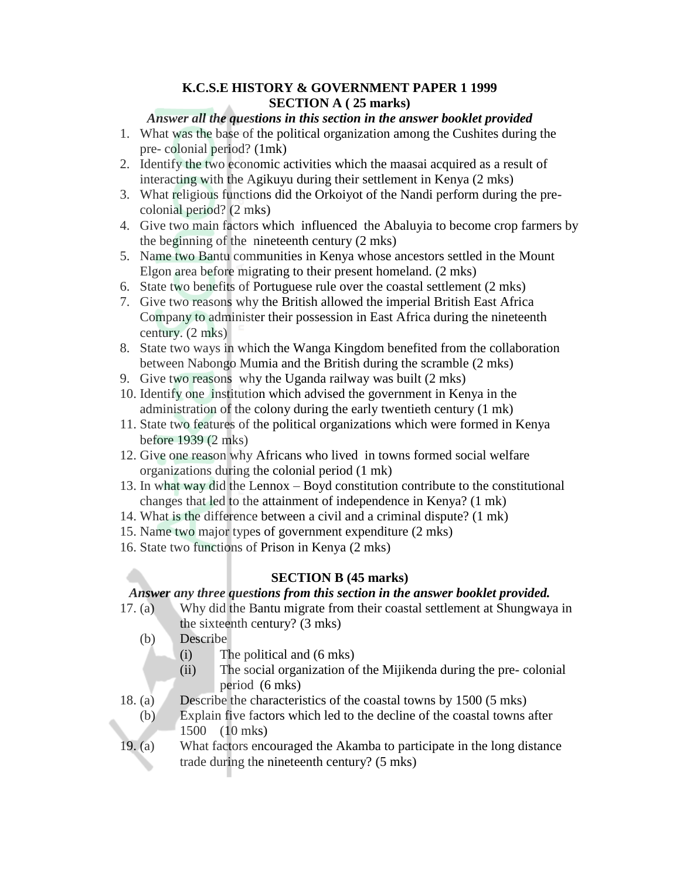#### **K.C.S.E HISTORY & GOVERNMENT PAPER 1 1999 SECTION A ( 25 marks)**

#### *Answer all the questions in this section in the answer booklet provided*

- 1. What was the base of the political organization among the Cushites during the pre- colonial period? (1mk)
- 2. Identify the two economic activities which the maasai acquired as a result of interacting with the Agikuyu during their settlement in Kenya (2 mks)
- 3. What religious functions did the Orkoiyot of the Nandi perform during the precolonial period? (2 mks)
- 4. Give two main factors which influenced the Abaluyia to become crop farmers by the beginning of the nineteenth century (2 mks)
- 5. Name two Bantu communities in Kenya whose ancestors settled in the Mount Elgon area before migrating to their present homeland. (2 mks)
- 6. State two benefits of Portuguese rule over the coastal settlement (2 mks)
- 7. Give two reasons why the British allowed the imperial British East Africa Company to administer their possession in East Africa during the nineteenth century. (2 mks)
- 8. State two ways in which the Wanga Kingdom benefited from the collaboration between Nabongo Mumia and the British during the scramble (2 mks)
- 9. Give two reasons why the Uganda railway was built (2 mks)
- 10. Identify one institution which advised the government in Kenya in the administration of the colony during the early twentieth century (1 mk)
- 11. State two features of the political organizations which were formed in Kenya before 1939 (2 mks)
- 12. Give one reason why Africans who lived in towns formed social welfare organizations during the colonial period (1 mk)
- 13. In what way did the Lennox Boyd constitution contribute to the constitutional changes that led to the attainment of independence in Kenya? (1 mk)
- 14. What is the difference between a civil and a criminal dispute? (1 mk)
- 15. Name two major types of government expenditure (2 mks)
- 16. State two functions of Prison in Kenya (2 mks)

## **SECTION B (45 marks)**

#### *Answer any three questions from this section in the answer booklet provided.*

- 17. (a) Why did the Bantu migrate from their coastal settlement at Shungwaya in the sixteenth century? (3 mks)
	- (b) Describe
		- (i) The political and (6 mks)
		- (ii) The social organization of the Mijikenda during the pre- colonial period (6 mks)
- 18. (a) Describe the characteristics of the coastal towns by 1500 (5 mks)
	- (b) Explain five factors which led to the decline of the coastal towns after 1500 (10 mks)
- 19. (a) What factors encouraged the Akamba to participate in the long distance trade during the nineteenth century? (5 mks)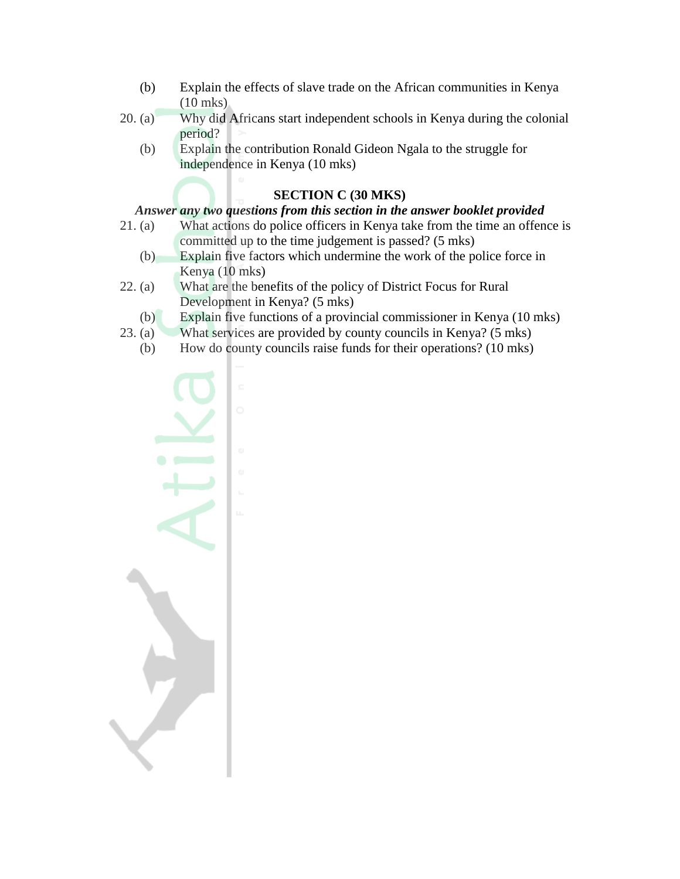- (b) Explain the effects of slave trade on the African communities in Kenya (10 mks)
- 20. (a) Why did Africans start independent schools in Kenya during the colonial period?
	- (b) Explain the contribution Ronald Gideon Ngala to the struggle for independence in Kenya (10 mks)

#### **SECTION C (30 MKS)**

#### *Answer any two questions from this section in the answer booklet provided*

- 21. (a) What actions do police officers in Kenya take from the time an offence is committed up to the time judgement is passed? (5 mks)
	- (b) Explain five factors which undermine the work of the police force in Kenya (10 mks)
- 22. (a) What are the benefits of the policy of District Focus for Rural Development in Kenya? (5 mks)
	- (b) Explain five functions of a provincial commissioner in Kenya (10 mks)
- 23. (a) What services are provided by county councils in Kenya? (5 mks)
	- (b) How do county councils raise funds for their operations? (10 mks)

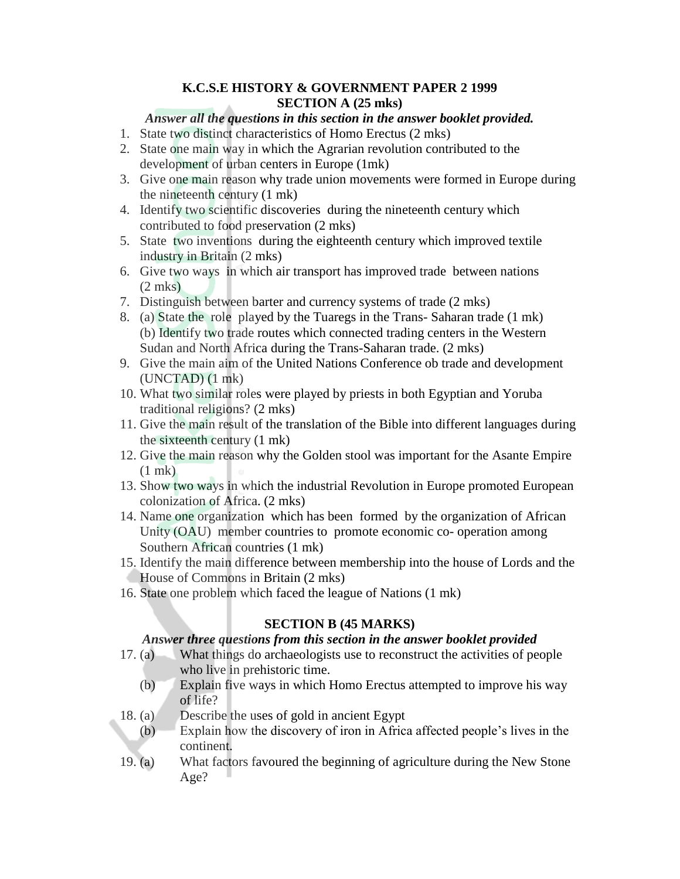## **K.C.S.E HISTORY & GOVERNMENT PAPER 2 1999 SECTION A (25 mks)**

# *Answer all the questions in this section in the answer booklet provided.*

- 1. State two distinct characteristics of Homo Erectus (2 mks)
- 2. State one main way in which the Agrarian revolution contributed to the development of urban centers in Europe (1mk)
- 3. Give one main reason why trade union movements were formed in Europe during the nineteenth century (1 mk)
- 4. Identify two scientific discoveries during the nineteenth century which contributed to food preservation (2 mks)
- 5. State two inventions during the eighteenth century which improved textile industry in Britain (2 mks)
- 6. Give two ways in which air transport has improved trade between nations (2 mks)
- 7. Distinguish between barter and currency systems of trade (2 mks)
- 8. (a) State the role played by the Tuaregs in the Trans- Saharan trade (1 mk) (b) Identify two trade routes which connected trading centers in the Western Sudan and North Africa during the Trans-Saharan trade. (2 mks)
- 9. Give the main aim of the United Nations Conference ob trade and development (UNCTAD) (1 mk)
- 10. What two similar roles were played by priests in both Egyptian and Yoruba traditional religions? (2 mks)
- 11. Give the main result of the translation of the Bible into different languages during the sixteenth century (1 mk)
- 12. Give the main reason why the Golden stool was important for the Asante Empire (1 mk)
- 13. Show two ways in which the industrial Revolution in Europe promoted European colonization of Africa. (2 mks)
- 14. Name one organization which has been formed by the organization of African Unity (OAU) member countries to promote economic co- operation among Southern African countries (1 mk)
- 15. Identify the main difference between membership into the house of Lords and the House of Commons in Britain (2 mks)
- 16. State one problem which faced the league of Nations (1 mk)

# **SECTION B (45 MARKS)**

*Answer three questions from this section in the answer booklet provided*

- 17. (a) What things do archaeologists use to reconstruct the activities of people who live in prehistoric time.
	- (b) Explain five ways in which Homo Erectus attempted to improve his way of life?
- 18. (a) Describe the uses of gold in ancient Egypt
	- (b) Explain how the discovery of iron in Africa affected people"s lives in the continent.
- 19. (a) What factors favoured the beginning of agriculture during the New Stone Age?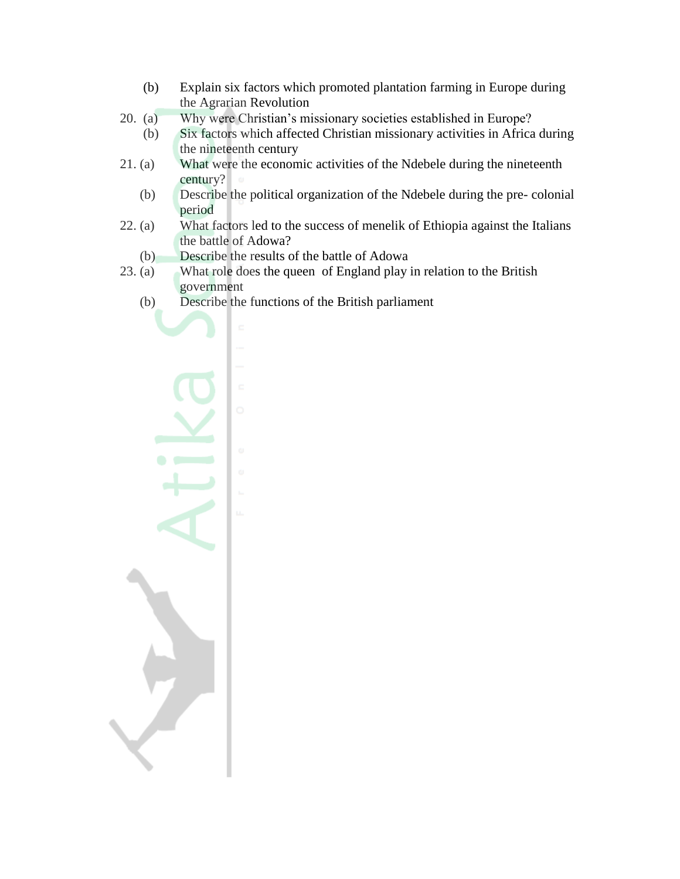- (b) Explain six factors which promoted plantation farming in Europe during the Agrarian Revolution
- 20. (a) Why were Christian"s missionary societies established in Europe?
	- (b) Six factors which affected Christian missionary activities in Africa during the nineteenth century
- 21. (a) What were the economic activities of the Ndebele during the nineteenth century?
	- (b) Describe the political organization of the Ndebele during the pre- colonial period
- 22. (a) What factors led to the success of menelik of Ethiopia against the Italians the battle of Adowa?
	- (b) Describe the results of the battle of Adowa
- 23. (a) What role does the queen of England play in relation to the British government
	- (b) Describe the functions of the British parliament

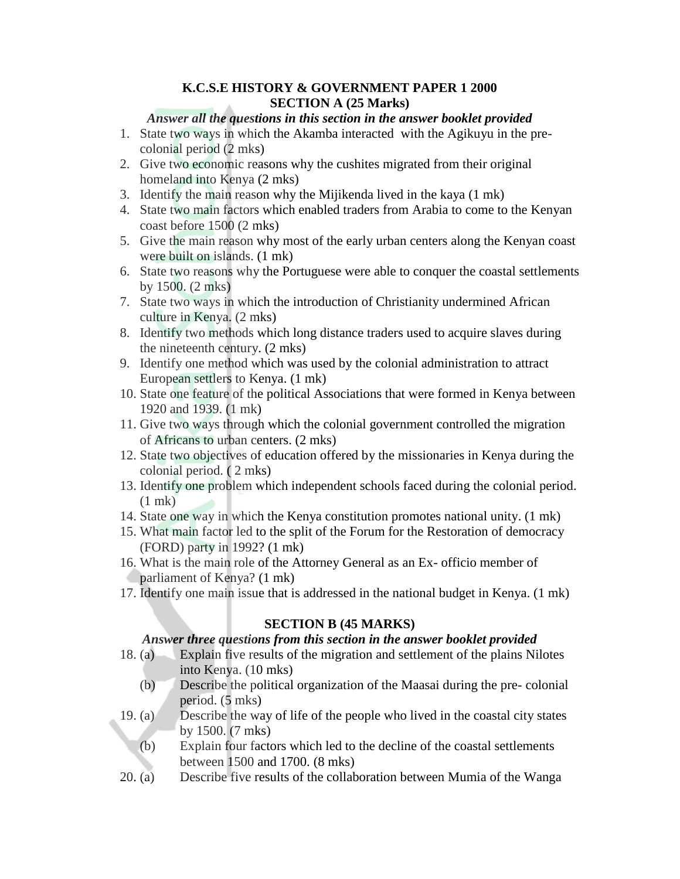#### **K.C.S.E HISTORY & GOVERNMENT PAPER 1 2000 SECTION A (25 Marks)**

#### *Answer all the questions in this section in the answer booklet provided*

- 1. State two ways in which the Akamba interacted with the Agikuyu in the precolonial period (2 mks)
- 2. Give two economic reasons why the cushites migrated from their original homeland into Kenya (2 mks)
- 3. Identify the main reason why the Mijikenda lived in the kaya (1 mk)
- 4. State two main factors which enabled traders from Arabia to come to the Kenyan coast before 1500 (2 mks)
- 5. Give the main reason why most of the early urban centers along the Kenyan coast were built on islands. (1 mk)
- 6. State two reasons why the Portuguese were able to conquer the coastal settlements by 1500. (2 mks)
- 7. State two ways in which the introduction of Christianity undermined African culture in Kenya. (2 mks)
- 8. Identify two methods which long distance traders used to acquire slaves during the nineteenth century. (2 mks)
- 9. Identify one method which was used by the colonial administration to attract European settlers to Kenya. (1 mk)
- 10. State one feature of the political Associations that were formed in Kenya between 1920 and 1939. (1 mk)
- 11. Give two ways through which the colonial government controlled the migration of Africans to urban centers. (2 mks)
- 12. State two objectives of education offered by the missionaries in Kenya during the colonial period. ( 2 mks)
- 13. Identify one problem which independent schools faced during the colonial period.  $(1$  mk $)$
- 14. State one way in which the Kenya constitution promotes national unity. (1 mk)
- 15. What main factor led to the split of the Forum for the Restoration of democracy (FORD) party in 1992? (1 mk)
- 16. What is the main role of the Attorney General as an Ex- officio member of parliament of Kenya? (1 mk)
- 17. Identify one main issue that is addressed in the national budget in Kenya. (1 mk)

## **SECTION B (45 MARKS)**

#### *Answer three questions from this section in the answer booklet provided*

- 18. (a) Explain five results of the migration and settlement of the plains Nilotes into Kenya. (10 mks)
	- (b) Describe the political organization of the Maasai during the pre- colonial period. (5 mks)
- 19. (a) Describe the way of life of the people who lived in the coastal city states by 1500. (7 mks)
	- (b) Explain four factors which led to the decline of the coastal settlements between 1500 and 1700. (8 mks)
- 20. (a) Describe five results of the collaboration between Mumia of the Wanga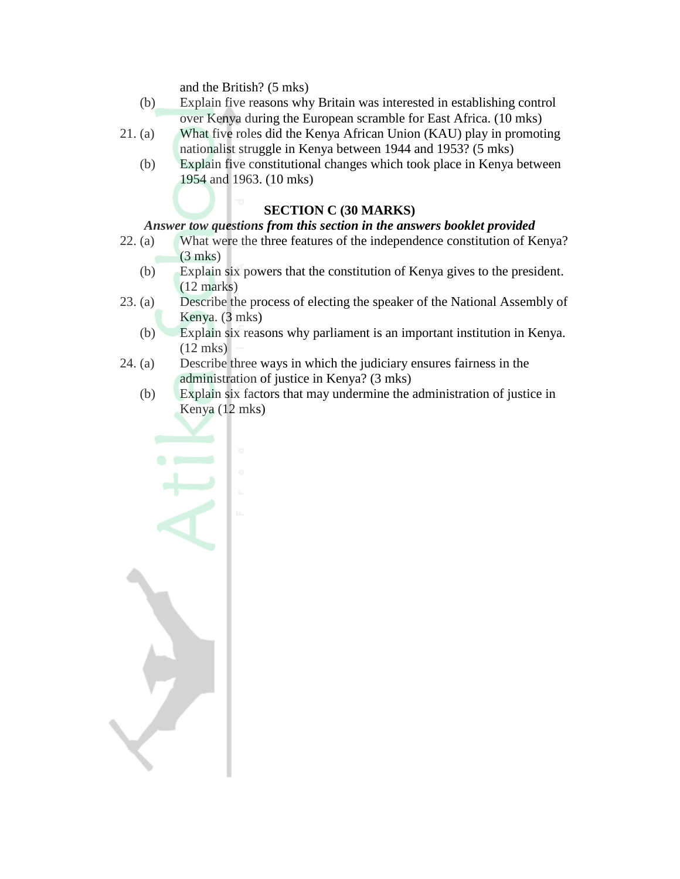and the British? (5 mks)

- (b) Explain five reasons why Britain was interested in establishing control over Kenya during the European scramble for East Africa. (10 mks)
- 21. (a) What five roles did the Kenya African Union (KAU) play in promoting nationalist struggle in Kenya between 1944 and 1953? (5 mks)
	- (b) Explain five constitutional changes which took place in Kenya between 1954 and 1963. (10 mks)

# **SECTION C (30 MARKS)**

# *Answer tow questions from this section in the answers booklet provided*

- 22. (a) What were the three features of the independence constitution of Kenya? (3 mks)
	- (b) Explain six powers that the constitution of Kenya gives to the president. (12 marks)
- 23. (a) Describe the process of electing the speaker of the National Assembly of Kenya. (3 mks)
	- (b) Explain six reasons why parliament is an important institution in Kenya. (12 mks)
- 24. (a) Describe three ways in which the judiciary ensures fairness in the administration of justice in Kenya? (3 mks)
	- (b) Explain six factors that may undermine the administration of justice in Kenya (12 mks)

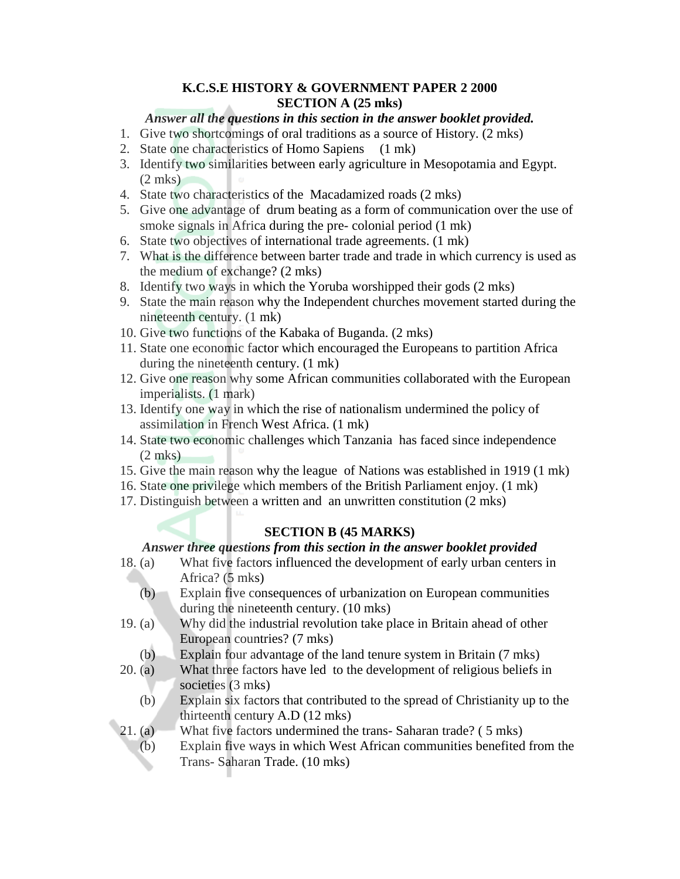## **K.C.S.E HISTORY & GOVERNMENT PAPER 2 2000 SECTION A (25 mks)**

# *Answer all the questions in this section in the answer booklet provided.*

- 1. Give two shortcomings of oral traditions as a source of History. (2 mks)
- 2. State one characteristics of Homo Sapiens (1 mk)
- 3. Identify two similarities between early agriculture in Mesopotamia and Egypt.  $(2 \text{ mks})$
- 4. State two characteristics of the Macadamized roads (2 mks)
- 5. Give one advantage of drum beating as a form of communication over the use of smoke signals in Africa during the pre- colonial period (1 mk)
- 6. State two objectives of international trade agreements. (1 mk)
- 7. What is the difference between barter trade and trade in which currency is used as the medium of exchange? (2 mks)
- 8. Identify two ways in which the Yoruba worshipped their gods (2 mks)
- 9. State the main reason why the Independent churches movement started during the nineteenth century. (1 mk)
- 10. Give two functions of the Kabaka of Buganda. (2 mks)
- 11. State one economic factor which encouraged the Europeans to partition Africa during the nineteenth century. (1 mk)
- 12. Give one reason why some African communities collaborated with the European imperialists. (1 mark)
- 13. Identify one way in which the rise of nationalism undermined the policy of assimilation in French West Africa. (1 mk)
- 14. State two economic challenges which Tanzania has faced since independence (2 mks)
- 15. Give the main reason why the league of Nations was established in 1919 (1 mk)
- 16. State one privilege which members of the British Parliament enjoy. (1 mk)
- 17. Distinguish between a written and an unwritten constitution (2 mks)

# **SECTION B (45 MARKS)**

## *Answer three questions from this section in the answer booklet provided*

- 18. (a) What five factors influenced the development of early urban centers in Africa? (5 mks)
	- (b) Explain five consequences of urbanization on European communities during the nineteenth century. (10 mks)
- 19. (a) Why did the industrial revolution take place in Britain ahead of other European countries? (7 mks)
	- (b) Explain four advantage of the land tenure system in Britain (7 mks)
- 20. (a) What three factors have led to the development of religious beliefs in societies (3 mks)
	- (b) Explain six factors that contributed to the spread of Christianity up to the thirteenth century A.D (12 mks)
- 21. (a) What five factors undermined the trans- Saharan trade? ( 5 mks)
	- (b) Explain five ways in which West African communities benefited from the Trans- Saharan Trade. (10 mks)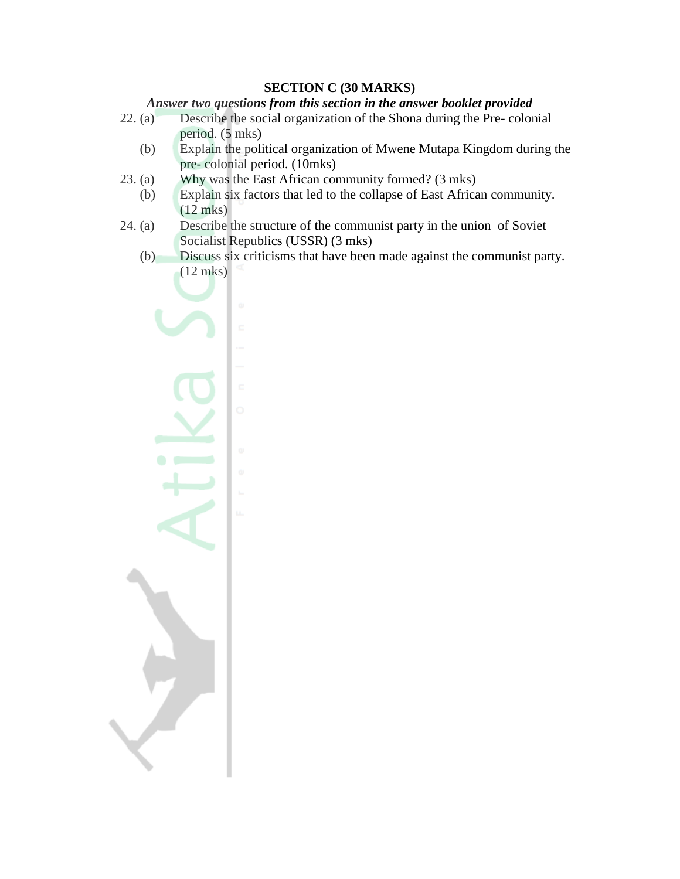#### **SECTION C (30 MARKS)**

#### *Answer two questions from this section in the answer booklet provided*

- 22. (a) Describe the social organization of the Shona during the Pre- colonial period. (5 mks)
	- (b) Explain the political organization of Mwene Mutapa Kingdom during the pre- colonial period. (10mks)
- 23. (a) Why was the East African community formed? (3 mks)
- (b) Explain six factors that led to the collapse of East African community. (12 mks)
- 24. (a) Describe the structure of the communist party in the union of Soviet Socialist Republics (USSR) (3 mks)
	- (b) Discuss six criticisms that have been made against the communist party. (12 mks)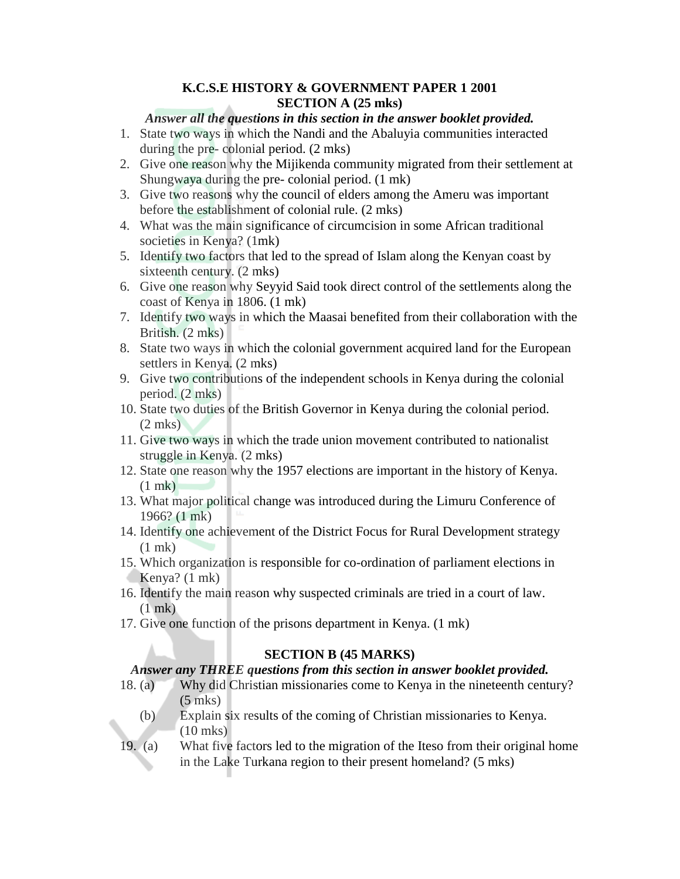#### **K.C.S.E HISTORY & GOVERNMENT PAPER 1 2001 SECTION A (25 mks)**

#### *Answer all the questions in this section in the answer booklet provided.*

- 1. State two ways in which the Nandi and the Abaluyia communities interacted during the pre- colonial period. (2 mks)
- 2. Give one reason why the Mijikenda community migrated from their settlement at Shungwaya during the pre- colonial period. (1 mk)
- 3. Give two reasons why the council of elders among the Ameru was important before the establishment of colonial rule. (2 mks)
- 4. What was the main significance of circumcision in some African traditional societies in Kenya? (1mk)
- 5. Identify two factors that led to the spread of Islam along the Kenyan coast by sixteenth century. (2 mks)
- 6. Give one reason why Seyyid Said took direct control of the settlements along the coast of Kenya in 1806. (1 mk)
- 7. Identify two ways in which the Maasai benefited from their collaboration with the British. (2 mks)
- 8. State two ways in which the colonial government acquired land for the European settlers in Kenya. (2 mks)
- 9. Give two contributions of the independent schools in Kenya during the colonial period. (2 mks)
- 10. State two duties of the British Governor in Kenya during the colonial period.  $(2$  mks)
- 11. Give two ways in which the trade union movement contributed to nationalist struggle in Kenya. (2 mks)
- 12. State one reason why the 1957 elections are important in the history of Kenya. (1 mk)
- 13. What major political change was introduced during the Limuru Conference of 1966? (1 mk)
- 14. Identify one achievement of the District Focus for Rural Development strategy (1 mk)
- 15. Which organization is responsible for co-ordination of parliament elections in Kenya? (1 mk)
- 16. Identify the main reason why suspected criminals are tried in a court of law. (1 mk)
- 17. Give one function of the prisons department in Kenya. (1 mk)

## **SECTION B (45 MARKS)**

## *Answer any THREE questions from this section in answer booklet provided.*

- 18. (a) Why did Christian missionaries come to Kenya in the nineteenth century? (5 mks)
	- (b) Explain six results of the coming of Christian missionaries to Kenya. (10 mks)
- 19. (a) What five factors led to the migration of the Iteso from their original home in the Lake Turkana region to their present homeland? (5 mks)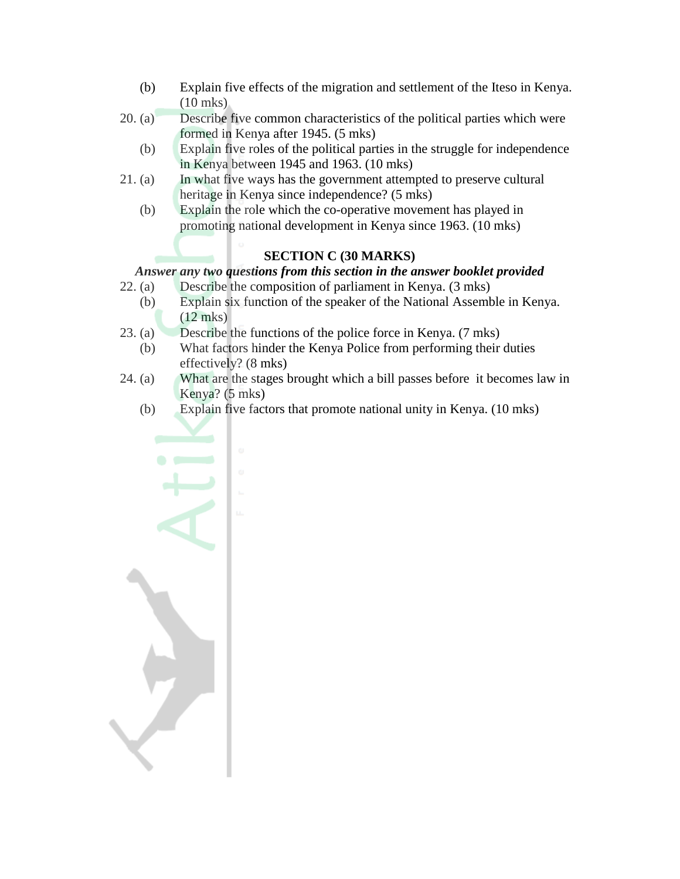- (b) Explain five effects of the migration and settlement of the Iteso in Kenya. (10 mks)
- 20. (a) Describe five common characteristics of the political parties which were formed in Kenya after 1945. (5 mks)
	- (b) Explain five roles of the political parties in the struggle for independence in Kenya between 1945 and 1963. (10 mks)
- 21. (a) In what five ways has the government attempted to preserve cultural heritage in Kenya since independence? (5 mks)
	- (b) Explain the role which the co-operative movement has played in promoting national development in Kenya since 1963. (10 mks)

# **SECTION C (30 MARKS)**

# *Answer any two questions from this section in the answer booklet provided*

- 22. (a) Describe the composition of parliament in Kenya. (3 mks)
	- (b) Explain six function of the speaker of the National Assemble in Kenya. (12 mks)
- 23. (a) Describe the functions of the police force in Kenya. (7 mks)
	- (b) What factors hinder the Kenya Police from performing their duties effectively? (8 mks)
- 24. (a) What are the stages brought which a bill passes before it becomes law in Kenya? (5 mks)
	- (b) Explain five factors that promote national unity in Kenya. (10 mks)

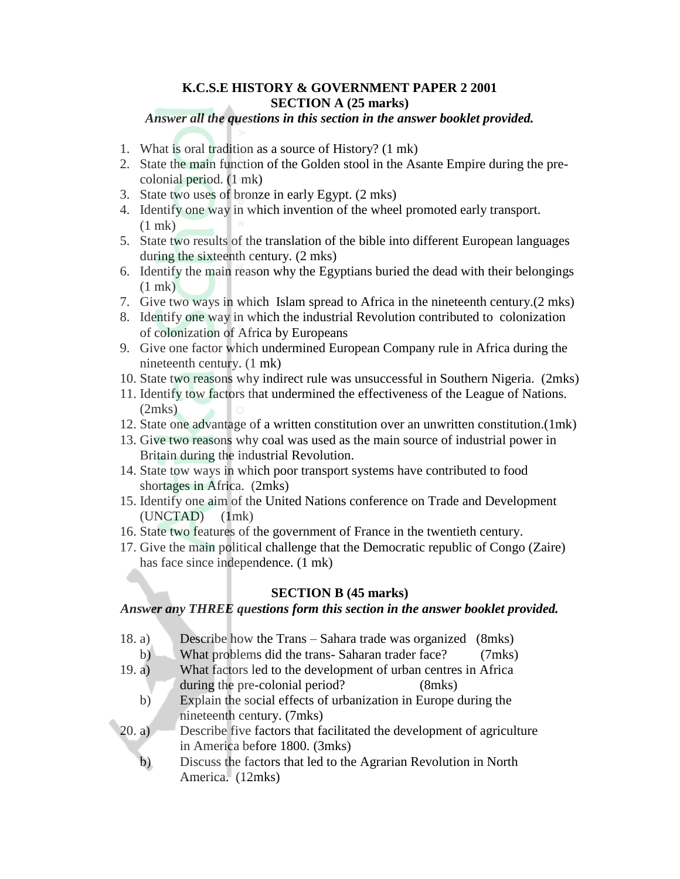#### **K.C.S.E HISTORY & GOVERNMENT PAPER 2 2001 SECTION A (25 marks)**

*Answer all the questions in this section in the answer booklet provided.*

- 1. What is oral tradition as a source of History? (1 mk)
- 2. State the main function of the Golden stool in the Asante Empire during the precolonial period. (1 mk)
- 3. State two uses of bronze in early Egypt. (2 mks)
- 4. Identify one way in which invention of the wheel promoted early transport. (1 mk)
- 5. State two results of the translation of the bible into different European languages during the sixteenth century. (2 mks)
- 6. Identify the main reason why the Egyptians buried the dead with their belongings (1 mk)
- 7. Give two ways in which Islam spread to Africa in the nineteenth century.(2 mks)
- 8. Identify one way in which the industrial Revolution contributed to colonization of colonization of Africa by Europeans
- 9. Give one factor which undermined European Company rule in Africa during the nineteenth century. (1 mk)
- 10. State two reasons why indirect rule was unsuccessful in Southern Nigeria. (2mks)
- 11. Identify tow factors that undermined the effectiveness of the League of Nations. (2mks)
- 12. State one advantage of a written constitution over an unwritten constitution.(1mk)
- 13. Give two reasons why coal was used as the main source of industrial power in Britain during the industrial Revolution.
- 14. State tow ways in which poor transport systems have contributed to food shortages in Africa. (2mks)
- 15. Identify one aim of the United Nations conference on Trade and Development (UNCTAD) (1mk)
- 16. State two features of the government of France in the twentieth century.
- 17. Give the main political challenge that the Democratic republic of Congo (Zaire) has face since independence. (1 mk)

## **SECTION B (45 marks)**

#### *Answer any THREE questions form this section in the answer booklet provided.*

- 18. a) Describe how the Trans Sahara trade was organized (8mks)
- b) What problems did the trans- Saharan trader face? (7mks)
- 19. a) What factors led to the development of urban centres in Africa during the pre-colonial period? (8mks)
	- b) Explain the social effects of urbanization in Europe during the nineteenth century. (7mks)
- 20. a) Describe five factors that facilitated the development of agriculture in America before 1800. (3mks)
	- b) Discuss the factors that led to the Agrarian Revolution in North America. (12mks)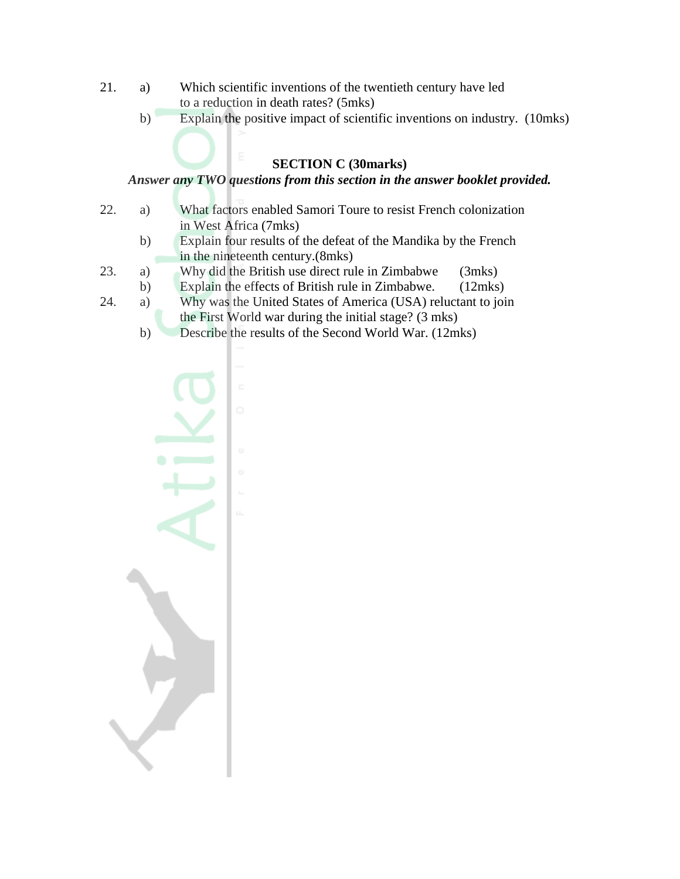- 21. a) Which scientific inventions of the twentieth century have led to a reduction in death rates? (5mks)
	- b) Explain the positive impact of scientific inventions on industry. (10mks)

# **SECTION C (30marks)**

# *Answer any TWO questions from this section in the answer booklet provided.*

- 22. a) What factors enabled Samori Toure to resist French colonization in West Africa (7mks)
	- b) Explain four results of the defeat of the Mandika by the French in the nineteenth century.(8mks)
- 23. a) Why did the British use direct rule in Zimbabwe (3mks)
- b) Explain the effects of British rule in Zimbabwe. (12mks)
- 24. a) Why was the United States of America (USA) reluctant to join the First World war during the initial stage? (3 mks)
	- b) Describe the results of the Second World War. (12mks)

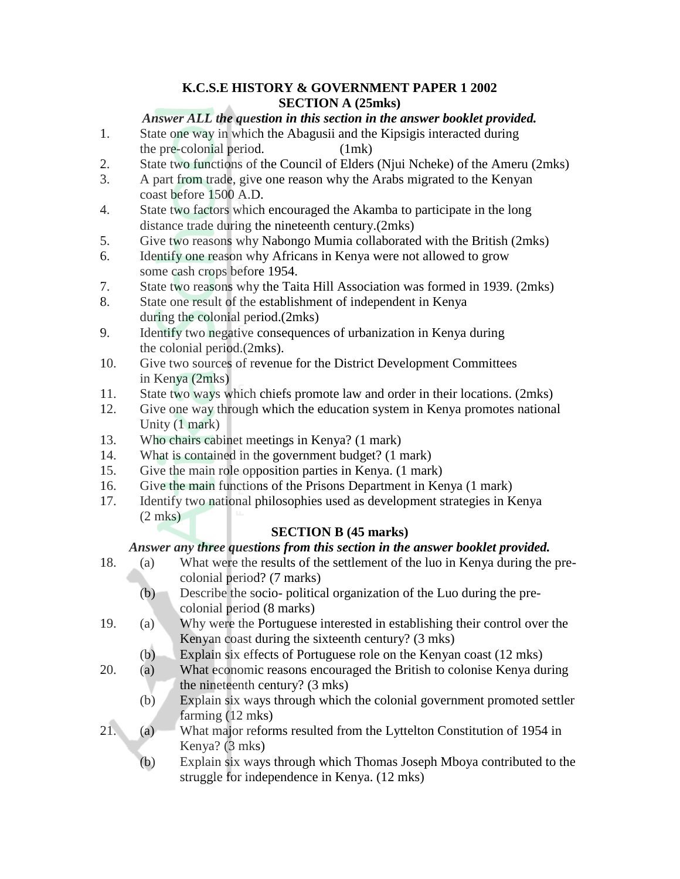# **K.C.S.E HISTORY & GOVERNMENT PAPER 1 2002 SECTION A (25mks)**

# *Answer ALL the question in this section in the answer booklet provided.*

- 1. State one way in which the Abagusii and the Kipsigis interacted during the pre-colonial period. (1mk)
- 2. State two functions of the Council of Elders (Njui Ncheke) of the Ameru (2mks)
- 3. A part from trade, give one reason why the Arabs migrated to the Kenyan coast before 1500 A.D.
- 4. State two factors which encouraged the Akamba to participate in the long distance trade during the nineteenth century.(2mks)
- 5. Give two reasons why Nabongo Mumia collaborated with the British (2mks)
- 6. Identify one reason why Africans in Kenya were not allowed to grow some cash crops before 1954.
- 7. State two reasons why the Taita Hill Association was formed in 1939. (2mks)
- 8. State one result of the establishment of independent in Kenya during the colonial period.(2mks)
- 9. Identify two negative consequences of urbanization in Kenya during the colonial period.(2mks).
- 10. Give two sources of revenue for the District Development Committees in Kenya (2mks)
- 11. State two ways which chiefs promote law and order in their locations. (2mks)
- 12. Give one way through which the education system in Kenya promotes national Unity (1 mark)
- 13. Who chairs cabinet meetings in Kenya? (1 mark)
- 14. What is contained in the government budget? (1 mark)
- 15. Give the main role opposition parties in Kenya. (1 mark)
- 16. Give the main functions of the Prisons Department in Kenya (1 mark)
- 17. Identify two national philosophies used as development strategies in Kenya (2 mks)

## **SECTION B (45 marks)**

# *Answer any three questions from this section in the answer booklet provided.*

- 18. (a) What were the results of the settlement of the luo in Kenya during the precolonial period? (7 marks)
	- (b) Describe the socio- political organization of the Luo during the precolonial period (8 marks)
- 19. (a) Why were the Portuguese interested in establishing their control over the Kenyan coast during the sixteenth century? (3 mks)
	- (b) Explain six effects of Portuguese role on the Kenyan coast (12 mks)
- 20. (a) What economic reasons encouraged the British to colonise Kenya during the nineteenth century? (3 mks)
	- (b) Explain six ways through which the colonial government promoted settler farming (12 mks)
- 21. (a) What major reforms resulted from the Lyttelton Constitution of 1954 in Kenya? (3 mks)
	- (b) Explain six ways through which Thomas Joseph Mboya contributed to the struggle for independence in Kenya. (12 mks)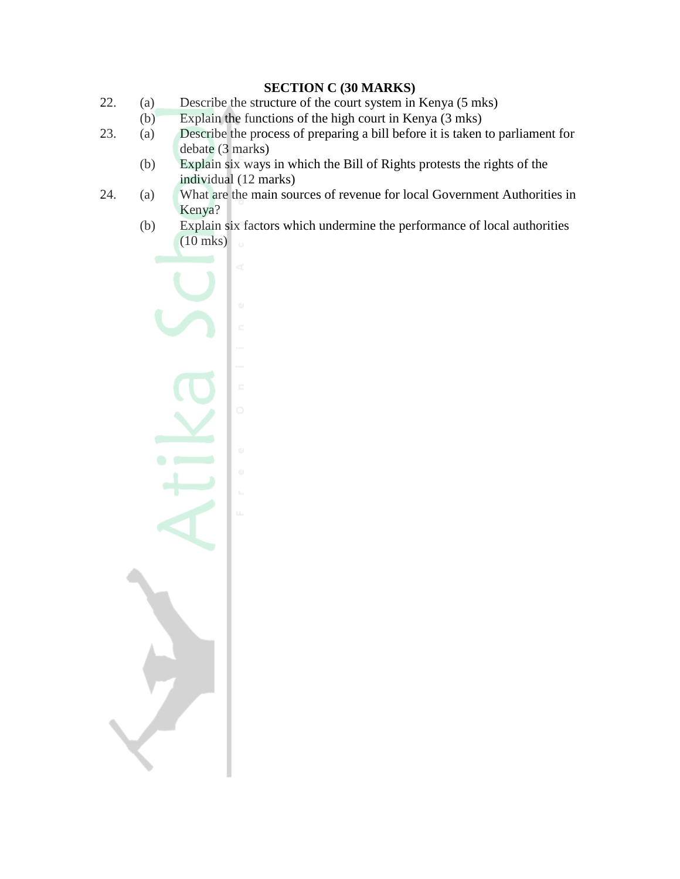# **SECTION C (30 MARKS)**

- 22. (a) Describe the structure of the court system in Kenya (5 mks)
	- (b) Explain the functions of the high court in Kenya (3 mks)
- 23. (a) Describe the process of preparing a bill before it is taken to parliament for debate (3 marks)
	- (b) Explain six ways in which the Bill of Rights protests the rights of the individual (12 marks)
- 24. (a) What are the main sources of revenue for local Government Authorities in Kenya?
	- (b) Explain six factors which undermine the performance of local authorities (10 mks)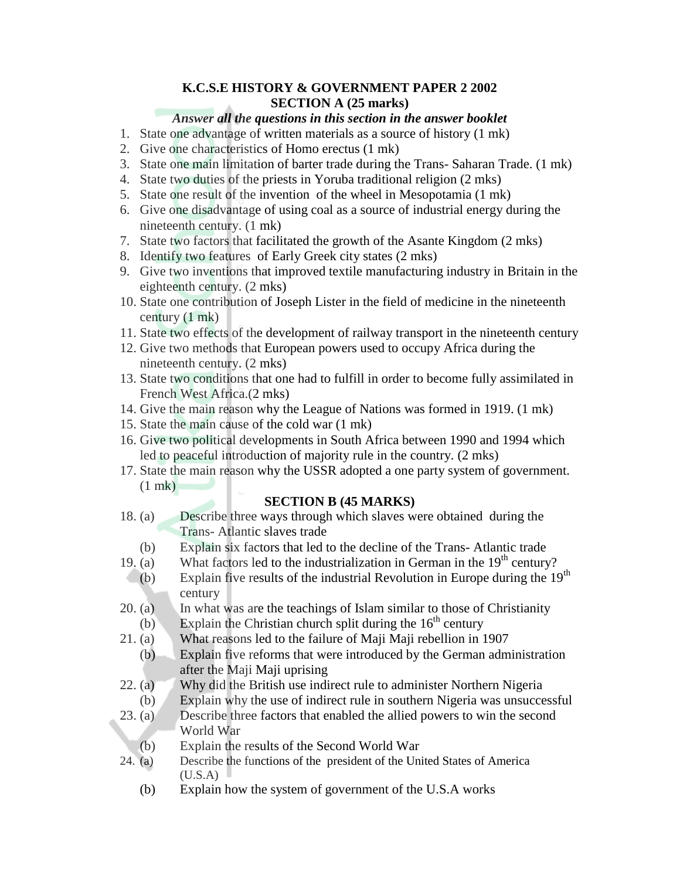## **K.C.S.E HISTORY & GOVERNMENT PAPER 2 2002 SECTION A (25 marks)**

## *Answer all the questions in this section in the answer booklet*

- 1. State one advantage of written materials as a source of history (1 mk)
- 2. Give one characteristics of Homo erectus (1 mk)
- 3. State one main limitation of barter trade during the Trans- Saharan Trade. (1 mk)
- 4. State two duties of the priests in Yoruba traditional religion (2 mks)
- 5. State one result of the invention of the wheel in Mesopotamia (1 mk)
- 6. Give one disadvantage of using coal as a source of industrial energy during the nineteenth century. (1 mk)
- 7. State two factors that facilitated the growth of the Asante Kingdom (2 mks)
- 8. Identify two features of Early Greek city states (2 mks)
- 9. Give two inventions that improved textile manufacturing industry in Britain in the eighteenth century. (2 mks)
- 10. State one contribution of Joseph Lister in the field of medicine in the nineteenth century (1 mk)
- 11. State two effects of the development of railway transport in the nineteenth century
- 12. Give two methods that European powers used to occupy Africa during the nineteenth century. (2 mks)
- 13. State two conditions that one had to fulfill in order to become fully assimilated in French West Africa.(2 mks)
- 14. Give the main reason why the League of Nations was formed in 1919. (1 mk)
- 15. State the main cause of the cold war (1 mk)
- 16. Give two political developments in South Africa between 1990 and 1994 which led to peaceful introduction of majority rule in the country. (2 mks)
- 17. State the main reason why the USSR adopted a one party system of government. (1 mk)

## **SECTION B (45 MARKS)**

- 18. (a) Describe three ways through which slaves were obtained during the Trans- Atlantic slaves trade
	- (b) Explain six factors that led to the decline of the Trans- Atlantic trade
- 19. (a) What factors led to the industrialization in German in the  $19<sup>th</sup>$  century?
- (b) Explain five results of the industrial Revolution in Europe during the  $19<sup>th</sup>$ century
- 20. (a) In what was are the teachings of Islam similar to those of Christianity (b) Explain the Christian church split during the  $16<sup>th</sup>$  century
- 21. (a) What reasons led to the failure of Maji Maji rebellion in 1907
- (b) Explain five reforms that were introduced by the German administration after the Maji Maji uprising
- 22. (a) Why did the British use indirect rule to administer Northern Nigeria
- (b) Explain why the use of indirect rule in southern Nigeria was unsuccessful
- 23. (a) Describe three factors that enabled the allied powers to win the second World War
	- (b) Explain the results of the Second World War
- 24. (a) Describe the functions of the president of the United States of America  $(U.S.A)$ 
	- (b) Explain how the system of government of the U.S.A works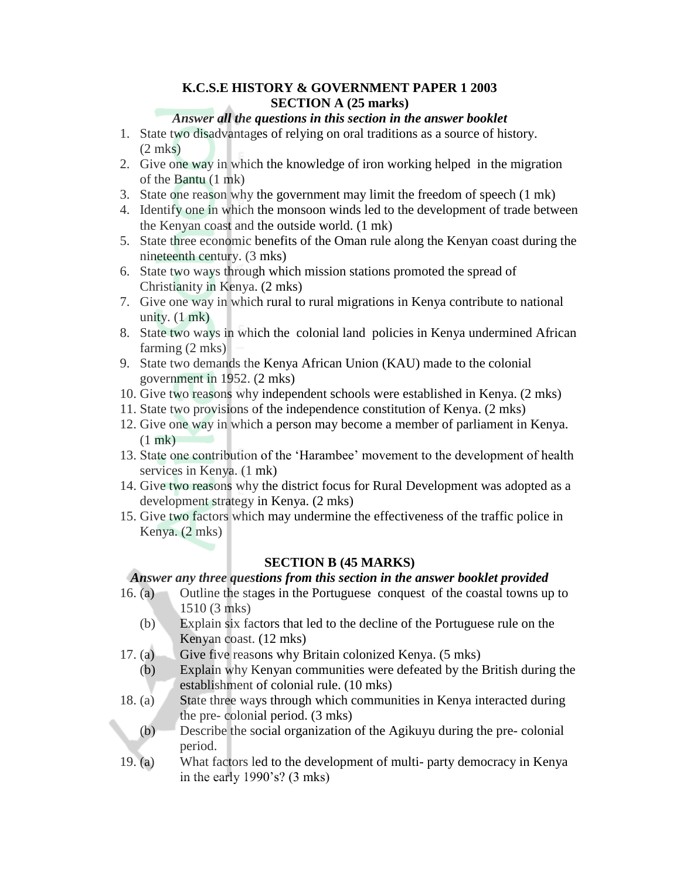## **K.C.S.E HISTORY & GOVERNMENT PAPER 1 2003 SECTION A (25 marks)**

## *Answer all the questions in this section in the answer booklet*

- 1. State two disadvantages of relying on oral traditions as a source of history. (2 mks)
- 2. Give one way in which the knowledge of iron working helped in the migration of the Bantu (1 mk)
- 3. State one reason why the government may limit the freedom of speech (1 mk)
- 4. Identify one in which the monsoon winds led to the development of trade between the Kenyan coast and the outside world. (1 mk)
- 5. State three economic benefits of the Oman rule along the Kenyan coast during the nineteenth century. (3 mks)
- 6. State two ways through which mission stations promoted the spread of Christianity in Kenya. (2 mks)
- 7. Give one way in which rural to rural migrations in Kenya contribute to national unity.  $(1 \text{ mk})$
- 8. State two ways in which the colonial land policies in Kenya undermined African farming (2 mks)
- 9. State two demands the Kenya African Union (KAU) made to the colonial government in 1952. (2 mks)
- 10. Give two reasons why independent schools were established in Kenya. (2 mks)
- 11. State two provisions of the independence constitution of Kenya. (2 mks)
- 12. Give one way in which a person may become a member of parliament in Kenya. (1 mk)
- 13. State one contribution of the "Harambee" movement to the development of health services in Kenya. (1 mk)
- 14. Give two reasons why the district focus for Rural Development was adopted as a development strategy in Kenya. (2 mks)
- 15. Give two factors which may undermine the effectiveness of the traffic police in Kenya. (2 mks)

## **SECTION B (45 MARKS)**

#### *Answer any three questions from this section in the answer booklet provided*

- 16. (a) Outline the stages in the Portuguese conquest of the coastal towns up to 1510 (3 mks)
	- (b) Explain six factors that led to the decline of the Portuguese rule on the Kenyan coast. (12 mks)
- 17. (a) Give five reasons why Britain colonized Kenya. (5 mks)
	- (b) Explain why Kenyan communities were defeated by the British during the establishment of colonial rule. (10 mks)
- 18. (a) State three ways through which communities in Kenya interacted during the pre- colonial period. (3 mks)
	- (b) Describe the social organization of the Agikuyu during the pre- colonial period.
- 19. (a) What factors led to the development of multi- party democracy in Kenya in the early 1990"s? (3 mks)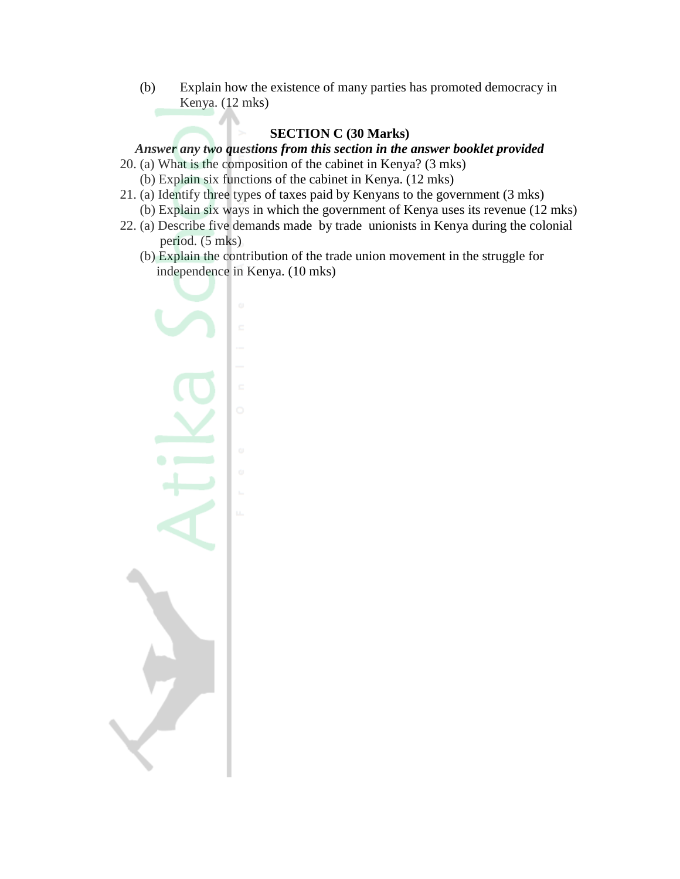(b) Explain how the existence of many parties has promoted democracy in Kenya. (12 mks)

# **SECTION C (30 Marks)**

# *Answer any two questions from this section in the answer booklet provided*

- 20. (a) What is the composition of the cabinet in Kenya? (3 mks) (b) Explain six functions of the cabinet in Kenya. (12 mks)
- 21. (a) Identify three types of taxes paid by Kenyans to the government (3 mks)
	- (b) Explain six ways in which the government of Kenya uses its revenue (12 mks)
- 22. (a) Describe five demands made by trade unionists in Kenya during the colonial period. (5 mks)
	- (b) Explain the contribution of the trade union movement in the struggle for independence in Kenya. (10 mks)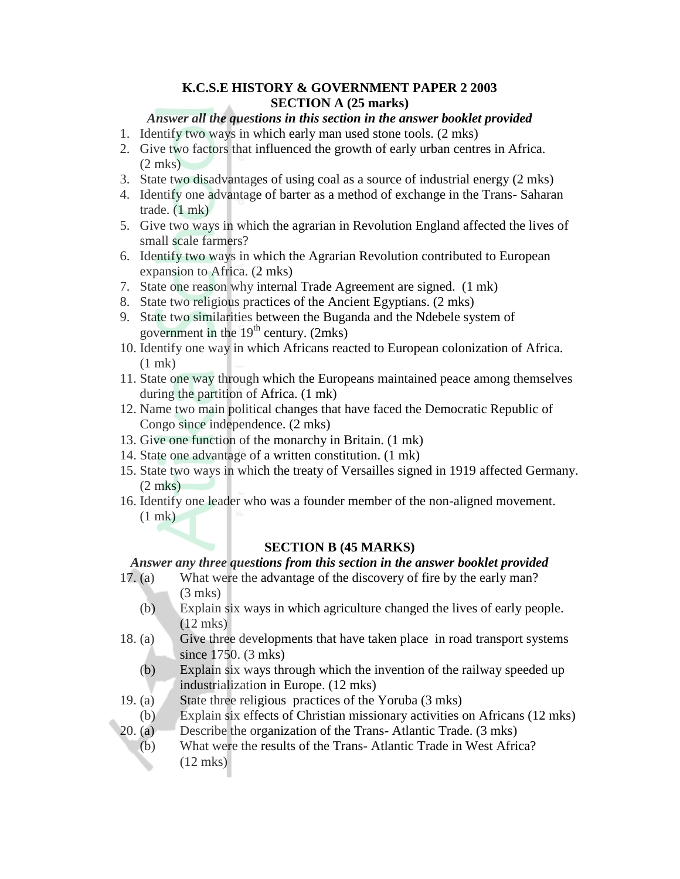## **K.C.S.E HISTORY & GOVERNMENT PAPER 2 2003 SECTION A (25 marks)**

#### *Answer all the questions in this section in the answer booklet provided*

- 1. Identify two ways in which early man used stone tools. (2 mks)
- 2. Give two factors that influenced the growth of early urban centres in Africa. (2 mks)
- 3. State two disadvantages of using coal as a source of industrial energy (2 mks)
- 4. Identify one advantage of barter as a method of exchange in the Trans- Saharan trade. (1 mk)
- 5. Give two ways in which the agrarian in Revolution England affected the lives of small scale farmers?
- 6. Identify two ways in which the Agrarian Revolution contributed to European expansion to Africa. (2 mks)
- 7. State one reason why internal Trade Agreement are signed. (1 mk)
- 8. State two religious practices of the Ancient Egyptians. (2 mks)
- 9. State two similarities between the Buganda and the Ndebele system of government in the  $19<sup>th</sup>$  century. (2mks)
- 10. Identify one way in which Africans reacted to European colonization of Africa. (1 mk)
- 11. State one way through which the Europeans maintained peace among themselves during the partition of Africa. (1 mk)
- 12. Name two main political changes that have faced the Democratic Republic of Congo since independence. (2 mks)
- 13. Give one function of the monarchy in Britain. (1 mk)
- 14. State one advantage of a written constitution. (1 mk)
- 15. State two ways in which the treaty of Versailles signed in 1919 affected Germany. (2 mks)
- 16. Identify one leader who was a founder member of the non-aligned movement. (1 mk)

## **SECTION B (45 MARKS)**

#### *Answer any three questions from this section in the answer booklet provided*

- 17. (a) What were the advantage of the discovery of fire by the early man? (3 mks)
	- (b) Explain six ways in which agriculture changed the lives of early people. (12 mks)
- 18. (a) Give three developments that have taken place in road transport systems since 1750. (3 mks)
	- (b) Explain six ways through which the invention of the railway speeded up industrialization in Europe. (12 mks)
- 19. (a) State three religious practices of the Yoruba (3 mks)
- (b) Explain six effects of Christian missionary activities on Africans (12 mks)
- 20. (a) Describe the organization of the Trans- Atlantic Trade. (3 mks)
	- (b) What were the results of the Trans- Atlantic Trade in West Africa? (12 mks)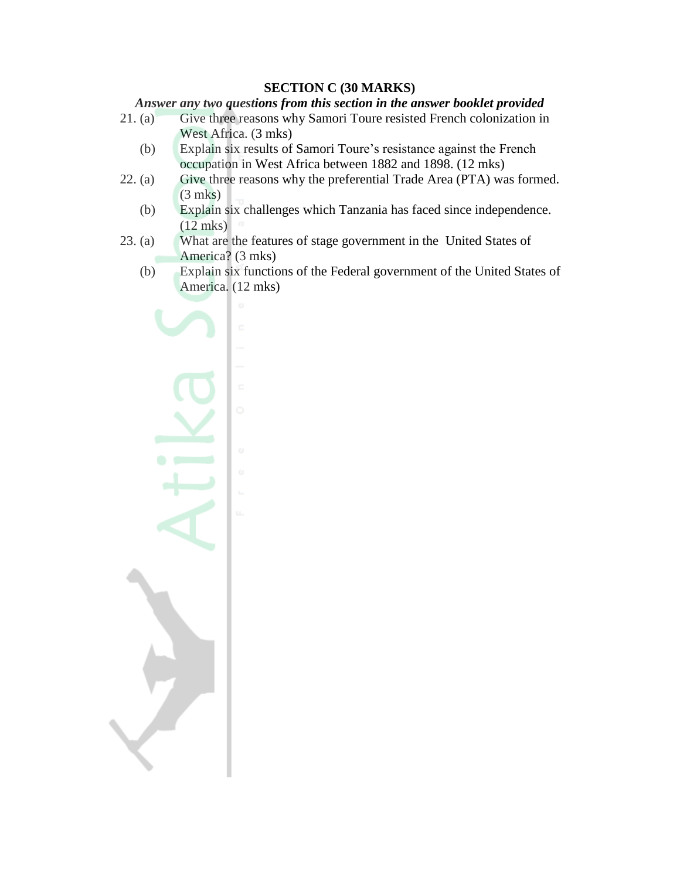#### **SECTION C (30 MARKS)**

#### *Answer any two questions from this section in the answer booklet provided*

- 21. (a) Give three reasons why Samori Toure resisted French colonization in West Africa. (3 mks)
	- (b) Explain six results of Samori Toure"s resistance against the French occupation in West Africa between 1882 and 1898. (12 mks)
- 22. (a) Give three reasons why the preferential Trade Area (PTA) was formed. (3 mks)
	- (b) Explain six challenges which Tanzania has faced since independence. (12 mks)
- 23. (a) What are the features of stage government in the United States of America? (3 mks)
	- (b) Explain six functions of the Federal government of the United States of America. (12 mks)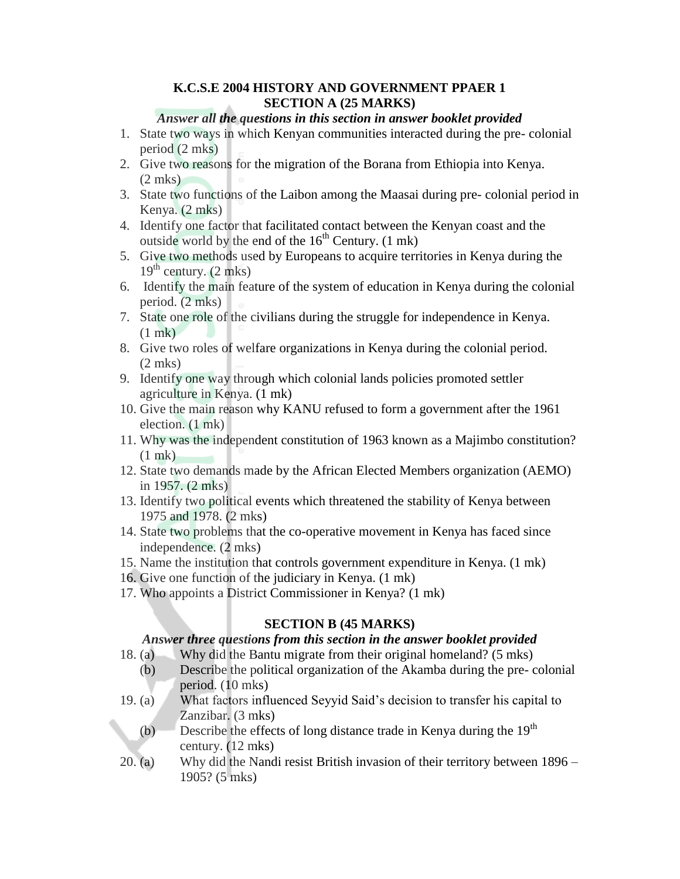#### **K.C.S.E 2004 HISTORY AND GOVERNMENT PPAER 1 SECTION A (25 MARKS)**

#### *Answer all the questions in this section in answer booklet provided*

- 1. State two ways in which Kenyan communities interacted during the pre- colonial period (2 mks)
- 2. Give two reasons for the migration of the Borana from Ethiopia into Kenya.  $(2 \text{ mks})$
- 3. State two functions of the Laibon among the Maasai during pre- colonial period in Kenya. (2 mks)
- 4. Identify one factor that facilitated contact between the Kenyan coast and the outside world by the end of the  $16<sup>th</sup>$  Century. (1 mk)
- 5. Give two methods used by Europeans to acquire territories in Kenya during the  $19<sup>th</sup>$  century. (2 mks)
- 6. Identify the main feature of the system of education in Kenya during the colonial period. (2 mks)
- 7. State one role of the civilians during the struggle for independence in Kenya. (1 mk)
- 8. Give two roles of welfare organizations in Kenya during the colonial period. (2 mks)
- 9. Identify one way through which colonial lands policies promoted settler agriculture in Kenya. (1 mk)
- 10. Give the main reason why KANU refused to form a government after the 1961 election. (1 mk)
- 11. Why was the independent constitution of 1963 known as a Majimbo constitution? (1 mk)
- 12. State two demands made by the African Elected Members organization (AEMO) in 1957. (2 mks)
- 13. Identify two political events which threatened the stability of Kenya between 1975 and 1978. (2 mks)
- 14. State two problems that the co-operative movement in Kenya has faced since independence. (2 mks)
- 15. Name the institution that controls government expenditure in Kenya. (1 mk)
- 16. Give one function of the judiciary in Kenya. (1 mk)
- 17. Who appoints a District Commissioner in Kenya? (1 mk)

## **SECTION B (45 MARKS)**

#### *Answer three questions from this section in the answer booklet provided*

- 18. (a) Why did the Bantu migrate from their original homeland? (5 mks)
	- (b) Describe the political organization of the Akamba during the pre- colonial period. (10 mks)
- 19. (a) What factors influenced Seyyid Said"s decision to transfer his capital to Zanzibar. (3 mks)
	- (b) Describe the effects of long distance trade in Kenya during the  $19<sup>th</sup>$ century. (12 mks)
- 20. (a) Why did the Nandi resist British invasion of their territory between 1896 1905? (5 mks)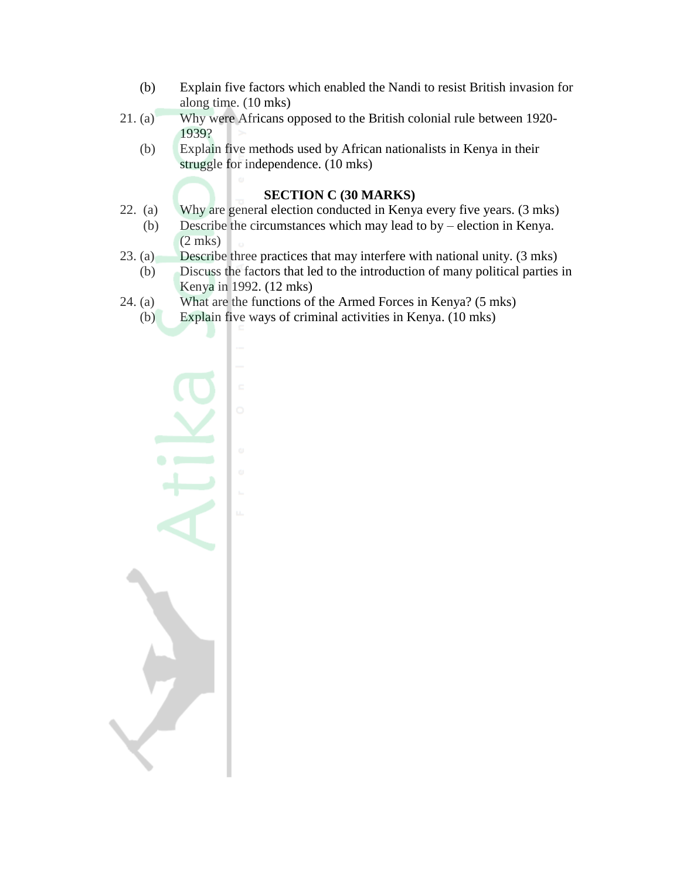- (b) Explain five factors which enabled the Nandi to resist British invasion for along time. (10 mks)
- 21. (a) Why were Africans opposed to the British colonial rule between 1920- 1939?
	- (b) Explain five methods used by African nationalists in Kenya in their struggle for independence. (10 mks)

#### **SECTION C (30 MARKS)**

- 22. (a) Why are general election conducted in Kenya every five years. (3 mks)
	- (b) Describe the circumstances which may lead to by election in Kenya. (2 mks)
- 23. (a) Describe three practices that may interfere with national unity. (3 mks)
	- (b) Discuss the factors that led to the introduction of many political parties in Kenya in 1992. (12 mks)
- 24. (a) What are the functions of the Armed Forces in Kenya? (5 mks)
	- (b) Explain five ways of criminal activities in Kenya. (10 mks)

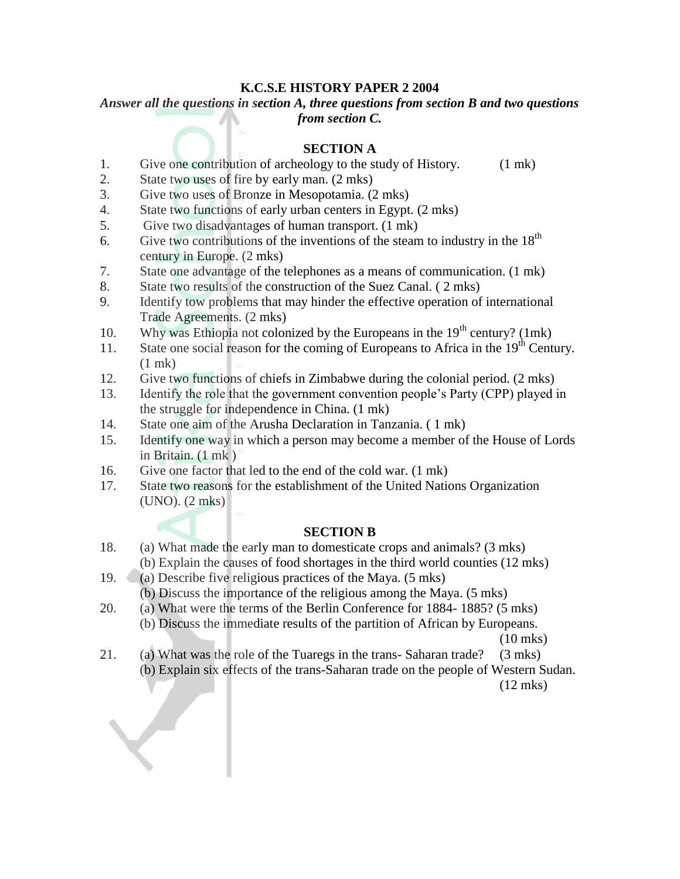#### **K.C.S.E HISTORY PAPER 2 2004**

# *Answer all the questions in section A, three questions from section B and two questions from section C.*

#### **SECTION A**

- 1. Give one contribution of archeology to the study of History. (1 mk)
- 2. State two uses of fire by early man. (2 mks)
- 3. Give two uses of Bronze in Mesopotamia. (2 mks)
- 4. State two functions of early urban centers in Egypt. (2 mks)
- 5. Give two disadvantages of human transport. (1 mk)
- 6. Give two contributions of the inventions of the steam to industry in the  $18<sup>th</sup>$ century in Europe. (2 mks)
- 7. State one advantage of the telephones as a means of communication. (1 mk)
- 8. State two results of the construction of the Suez Canal. ( 2 mks)
- 9. Identify tow problems that may hinder the effective operation of international Trade Agreements. (2 mks)
- 10. Why was Ethiopia not colonized by the Europeans in the  $19<sup>th</sup>$  century? (1mk)
- 11. State one social reason for the coming of Europeans to Africa in the  $19<sup>th</sup>$  Century. (1 mk)
- 12. Give two functions of chiefs in Zimbabwe during the colonial period. (2 mks)
- 13. Identify the role that the government convention people"s Party (CPP) played in the struggle for independence in China. (1 mk)
- 14. State one aim of the Arusha Declaration in Tanzania. ( 1 mk)
- 15. Identify one way in which a person may become a member of the House of Lords in Britain. (1 mk )
- 16. Give one factor that led to the end of the cold war. (1 mk)
- 17. State two reasons for the establishment of the United Nations Organization (UNO). (2 mks)

## **SECTION B**

- 18. (a) What made the early man to domesticate crops and animals? (3 mks) (b) Explain the causes of food shortages in the third world counties (12 mks)
- 19. (a) Describe five religious practices of the Maya. (5 mks)
	- (b) Discuss the importance of the religious among the Maya. (5 mks)
- 20. (a) What were the terms of the Berlin Conference for 1884- 1885? (5 mks) (b) Discuss the immediate results of the partition of African by Europeans.

(10 mks)

21. (a) What was the role of the Tuaregs in the trans- Saharan trade? (3 mks) (b) Explain six effects of the trans-Saharan trade on the people of Western Sudan.

(12 mks)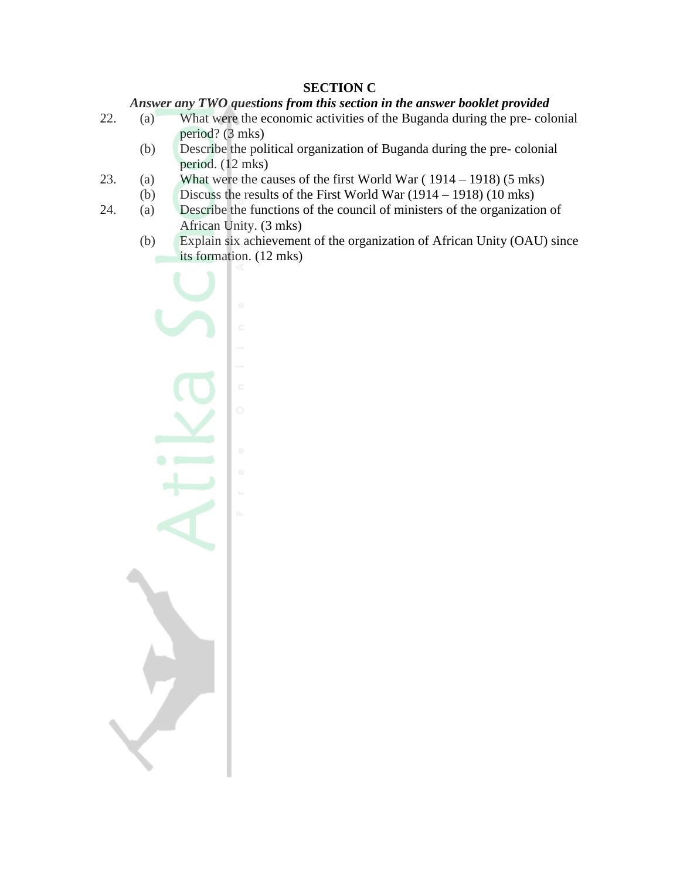## **SECTION C**

# *Answer any TWO questions from this section in the answer booklet provided*

- 22. (a) What were the economic activities of the Buganda during the pre- colonial period? (3 mks)
	- (b) Describe the political organization of Buganda during the pre- colonial period. (12 mks)
- 23. (a) What were the causes of the first World War ( 1914 1918) (5 mks)
	- (b) Discuss the results of the First World War (1914 1918) (10 mks)
- 24. (a) Describe the functions of the council of ministers of the organization of African Unity. (3 mks)
	- (b) Explain six achievement of the organization of African Unity (OAU) since its formation. (12 mks)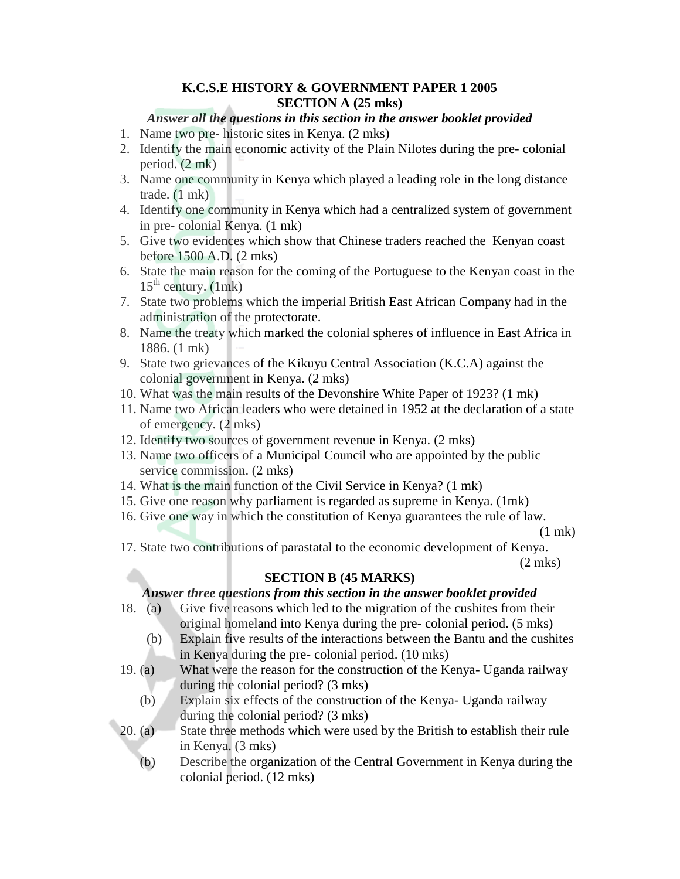# **K.C.S.E HISTORY & GOVERNMENT PAPER 1 2005 SECTION A (25 mks)**

## *Answer all the questions in this section in the answer booklet provided*

- 1. Name two pre- historic sites in Kenya. (2 mks)
- 2. Identify the main economic activity of the Plain Nilotes during the pre- colonial period. (2 mk)
- 3. Name one community in Kenya which played a leading role in the long distance trade. (1 mk)
- 4. Identify one community in Kenya which had a centralized system of government in pre- colonial Kenya. (1 mk)
- 5. Give two evidences which show that Chinese traders reached the Kenyan coast before 1500 A.D. (2 mks)
- 6. State the main reason for the coming of the Portuguese to the Kenyan coast in the  $15<sup>th</sup>$  century. (1mk)
- 7. State two problems which the imperial British East African Company had in the administration of the protectorate.
- 8. Name the treaty which marked the colonial spheres of influence in East Africa in 1886. (1 mk)
- 9. State two grievances of the Kikuyu Central Association (K.C.A) against the colonial government in Kenya. (2 mks)
- 10. What was the main results of the Devonshire White Paper of 1923? (1 mk)
- 11. Name two African leaders who were detained in 1952 at the declaration of a state of emergency. (2 mks)
- 12. Identify two sources of government revenue in Kenya. (2 mks)
- 13. Name two officers of a Municipal Council who are appointed by the public service commission. (2 mks)
- 14. What is the main function of the Civil Service in Kenya? (1 mk)
- 15. Give one reason why parliament is regarded as supreme in Kenya. (1mk)
- 16. Give one way in which the constitution of Kenya guarantees the rule of law.

(1 mk)

17. State two contributions of parastatal to the economic development of Kenya.

(2 mks)

# **SECTION B (45 MARKS)**

## *Answer three questions from this section in the answer booklet provided*

- 18. (a) Give five reasons which led to the migration of the cushites from their original homeland into Kenya during the pre- colonial period. (5 mks)
	- (b) Explain five results of the interactions between the Bantu and the cushites in Kenya during the pre- colonial period. (10 mks)
- 19. (a) What were the reason for the construction of the Kenya- Uganda railway during the colonial period? (3 mks)
	- (b) Explain six effects of the construction of the Kenya- Uganda railway during the colonial period? (3 mks)
- 20. (a) State three methods which were used by the British to establish their rule in Kenya. (3 mks)
	- (b) Describe the organization of the Central Government in Kenya during the colonial period. (12 mks)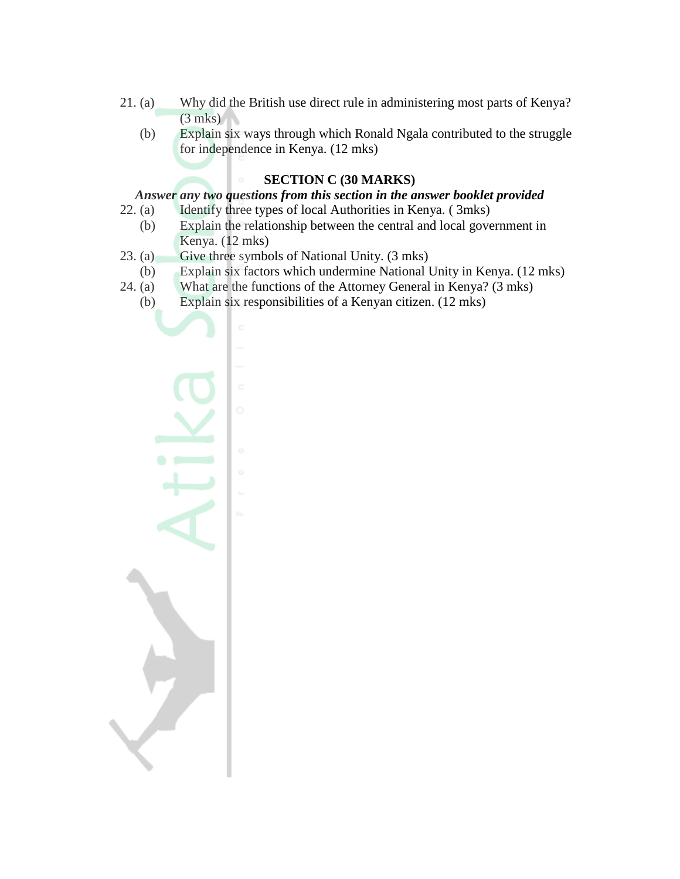- 21. (a) Why did the British use direct rule in administering most parts of Kenya?  $(3$  mks)
	- (b) Explain six ways through which Ronald Ngala contributed to the struggle for independence in Kenya. (12 mks)

# **SECTION C (30 MARKS)**

#### *Answer any two questions from this section in the answer booklet provided*

- 22. (a) Identify three types of local Authorities in Kenya. ( 3mks)
	- (b) Explain the relationship between the central and local government in Kenya. (12 mks)
- 23. (a) Give three symbols of National Unity. (3 mks)
- (b) Explain six factors which undermine National Unity in Kenya. (12 mks)
- 24. (a) What are the functions of the Attorney General in Kenya? (3 mks)
	- (b) Explain six responsibilities of a Kenyan citizen. (12 mks)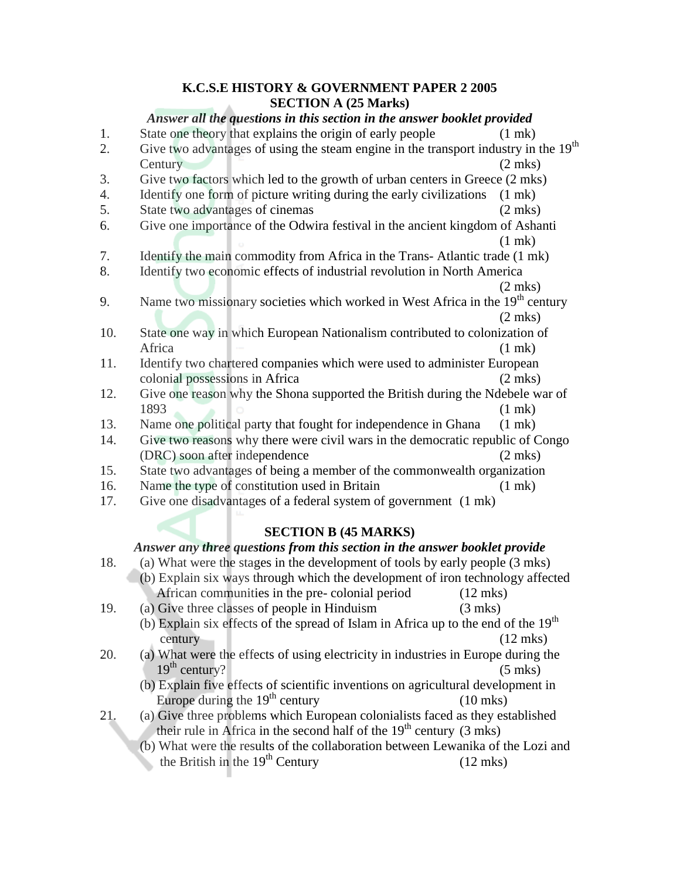#### **K.C.S.E HISTORY & GOVERNMENT PAPER 2 2005 SECTION A (25 Marks)**

#### *Answer all the questions in this section in the answer booklet provided*

1. State one theory that explains the origin of early people (1 mk) 2. Give two advantages of using the steam engine in the transport industry in the  $19<sup>th</sup>$ Century (2 mks) 3. Give two factors which led to the growth of urban centers in Greece (2 mks) 4. Identify one form of picture writing during the early civilizations (1 mk) 5. State two advantages of cinemas (2 mks) 6. Give one importance of the Odwira festival in the ancient kingdom of Ashanti (1 mk) 7. Identify the main commodity from Africa in the Trans- Atlantic trade (1 mk) 8. Identify two economic effects of industrial revolution in North America (2 mks) 9. Name two missionary societies which worked in West Africa in the  $19<sup>th</sup>$  century (2 mks) 10. State one way in which European Nationalism contributed to colonization of Africa (1 mk) 11. Identify two chartered companies which were used to administer European colonial possessions in Africa (2 mks) 12. Give one reason why the Shona supported the British during the Ndebele war of 1893 (1 mk) 13. Name one political party that fought for independence in Ghana (1 mk) 14. Give two reasons why there were civil wars in the democratic republic of Congo (DRC) soon after independence (2 mks) 15. State two advantages of being a member of the commonwealth organization 16. Name the type of constitution used in Britain (1 mk) 17. Give one disadvantages of a federal system of government (1 mk) **SECTION B (45 MARKS)** *Answer any three questions from this section in the answer booklet provide* 18. (a) What were the stages in the development of tools by early people (3 mks) (b) Explain six ways through which the development of iron technology affected African communities in the pre- colonial period (12 mks) 19. (a) Give three classes of people in Hinduism (3 mks) (b) Explain six effects of the spread of Islam in Africa up to the end of the  $19<sup>th</sup>$ 

century (12 mks)

- 20. (a) What were the effects of using electricity in industries in Europe during the  $19<sup>th</sup>$  century? (5 mks)
	- (b) Explain five effects of scientific inventions on agricultural development in Europe during the  $19<sup>th</sup>$  century (10 mks)
- 21. (a) Give three problems which European colonialists faced as they established their rule in Africa in the second half of the  $19<sup>th</sup>$  century (3 mks)
	- (b) What were the results of the collaboration between Lewanika of the Lozi and the British in the  $19<sup>th</sup>$  Century (12 mks)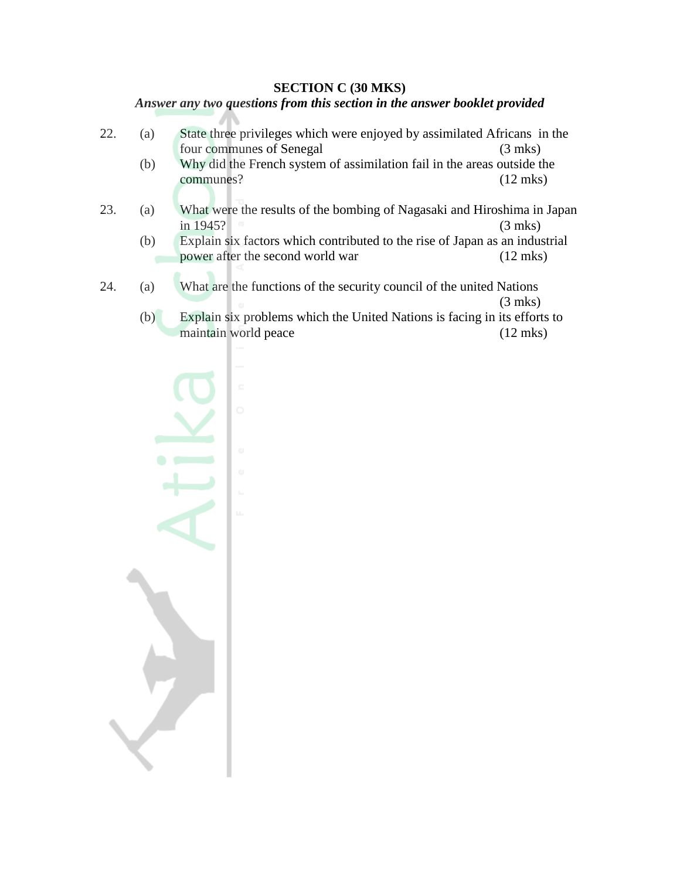#### **SECTION C (30 MKS)**

#### *Answer any two questions from this section in the answer booklet provided*

- 22. (a) State three privileges which were enjoyed by assimilated Africans in the four communes of Senegal (3 mks) (b) Why did the French system of assimilation fail in the areas outside the communes? (12 mks)
- 23. (a) What were the results of the bombing of Nagasaki and Hiroshima in Japan in 1945? (3 mks)
	- (b) Explain six factors which contributed to the rise of Japan as an industrial power after the second world war (12 mks)
- 24. (a) What are the functions of the security council of the united Nations (3 mks)
	- (b) Explain six problems which the United Nations is facing in its efforts to maintain world peace (12 mks)

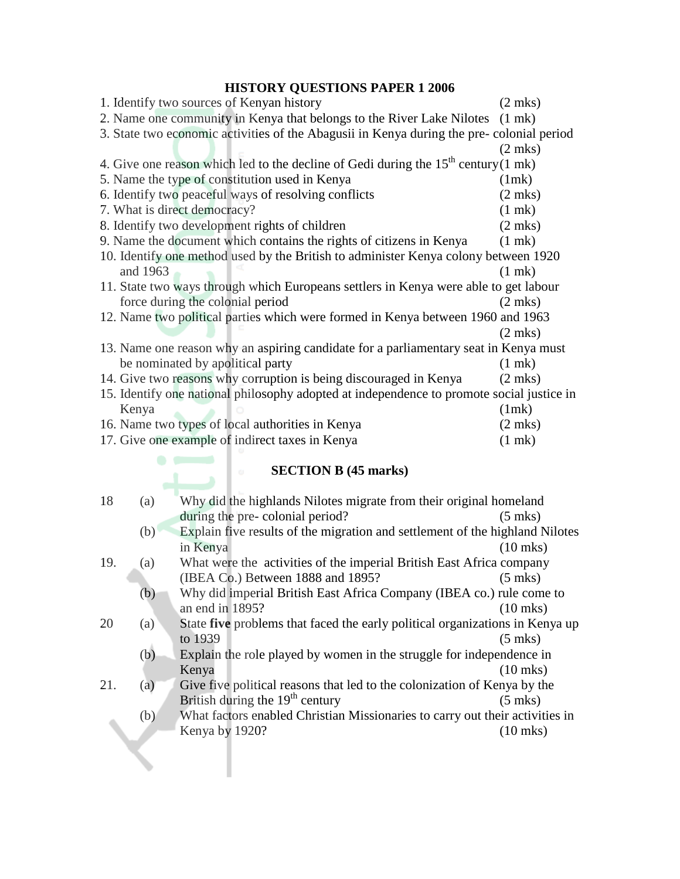# **HISTORY QUESTIONS PAPER 1 2006**

| 1. Identify two sources of Kenyan history                                                 | $(2$ mks)         |
|-------------------------------------------------------------------------------------------|-------------------|
| 2. Name one community in Kenya that belongs to the River Lake Nilotes                     | $(1 \text{ mk})$  |
| 3. State two economic activities of the Abagusii in Kenya during the pre-colonial period  |                   |
|                                                                                           | $(2 \text{ mks})$ |
| 4. Give one reason which led to the decline of Gedi during the $15th$ century(1 mk)       |                   |
| 5. Name the type of constitution used in Kenya                                            | (1mk)             |
| 6. Identify two peaceful ways of resolving conflicts                                      | $(2 \text{ mks})$ |
| 7. What is direct democracy?                                                              | $(1$ mk $)$       |
| 8. Identify two development rights of children                                            | $(2 \text{ mks})$ |
| 9. Name the document which contains the rights of citizens in Kenya                       | $(1$ mk)          |
| 10. Identify one method used by the British to administer Kenya colony between 1920       |                   |
| and 1963                                                                                  | $(1$ mk $)$       |
| 11. State two ways through which Europeans settlers in Kenya were able to get labour      |                   |
| force during the colonial period                                                          | $(2 \text{ mks})$ |
| 12. Name two political parties which were formed in Kenya between 1960 and 1963           |                   |
|                                                                                           | $(2$ mks)         |
| 13. Name one reason why an aspiring candidate for a parliamentary seat in Kenya must      |                   |
| be nominated by apolitical party                                                          | $(1$ mk $)$       |
| 14. Give two reasons why corruption is being discouraged in Kenya                         | $(2$ mks)         |
| 15. Identify one national philosophy adopted at independence to promote social justice in |                   |
| Kenya                                                                                     | (1mk)             |
| 16. Name two types of local authorities in Kenya                                          | $(2 \text{ mks})$ |
| 17. Give one example of indirect taxes in Kenya                                           | $(1$ mk $)$       |

#### **SECTION B (45 marks)**

| 18  | (a) | Why did the highlands Nilotes migrate from their original homeland           |                    |
|-----|-----|------------------------------------------------------------------------------|--------------------|
|     |     | during the pre-colonial period?                                              | $(5 \text{ mks})$  |
|     | (b) | Explain five results of the migration and settlement of the highland Nilotes |                    |
|     |     | in Kenya                                                                     | $(10 \text{ mks})$ |
| 19. | (a) | What were the activities of the imperial British East Africa company         |                    |
|     |     | (IBEA Co.) Between 1888 and 1895?                                            | $(5$ mks)          |
|     | (b) | Why did imperial British East Africa Company (IBEA co.) rule come to         |                    |
|     |     | an end in 1895?                                                              | $(10 \text{ mks})$ |
| 20  | (a) | State five problems that faced the early political organizations in Kenya up |                    |
|     |     | to 1939                                                                      | $(5$ mks)          |
|     | (b) | Explain the role played by women in the struggle for independence in         |                    |
|     |     | Kenya                                                                        | $(10 \text{ mks})$ |
| 21. | (a) | Give five political reasons that led to the colonization of Kenya by the     |                    |
|     |     | British during the $19th$ century                                            | $(5 \text{ mks})$  |
|     | (b) | What factors enabled Christian Missionaries to carry out their activities in |                    |
|     |     | Kenya by 1920?                                                               | (10 mks)           |
|     |     |                                                                              |                    |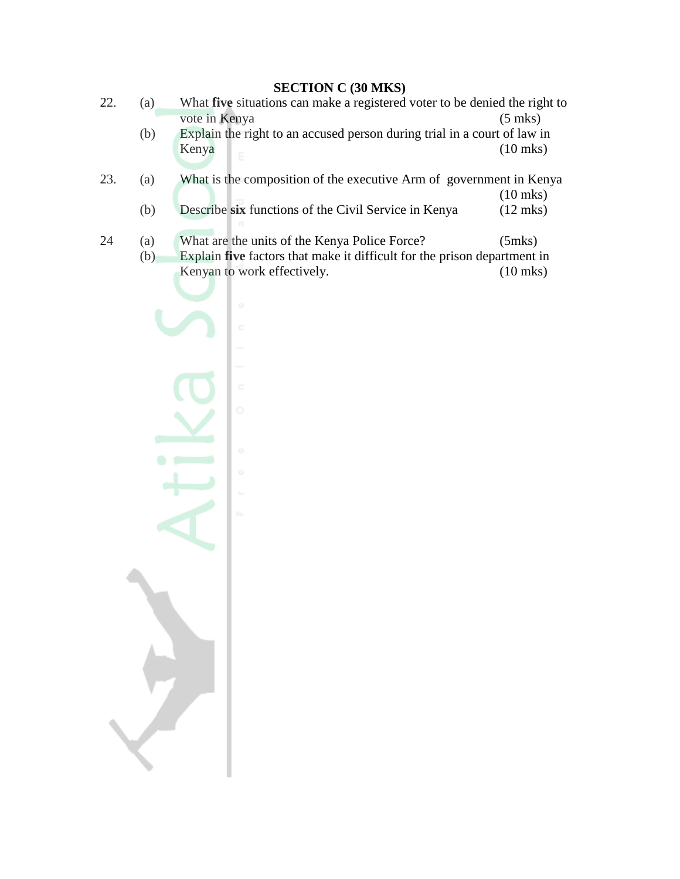# **SECTION C (30 MKS)**

- 22. (a) What **five** situations can make a registered voter to be denied the right to vote in Kenya (5 mks)
	- (b) Explain the right to an accused person during trial in a court of law in Kenya (10 mks)
- 23. (a) What is the composition of the executive Arm of government in Kenya (10 mks) (b) Describe **six** functions of the Civil Service in Kenya (12 mks)
	-
- 24 (a) What are the units of the Kenya Police Force? (5mks) (b) Explain **five** factors that make it difficult for the prison department in Kenyan to work effectively. (10 mks)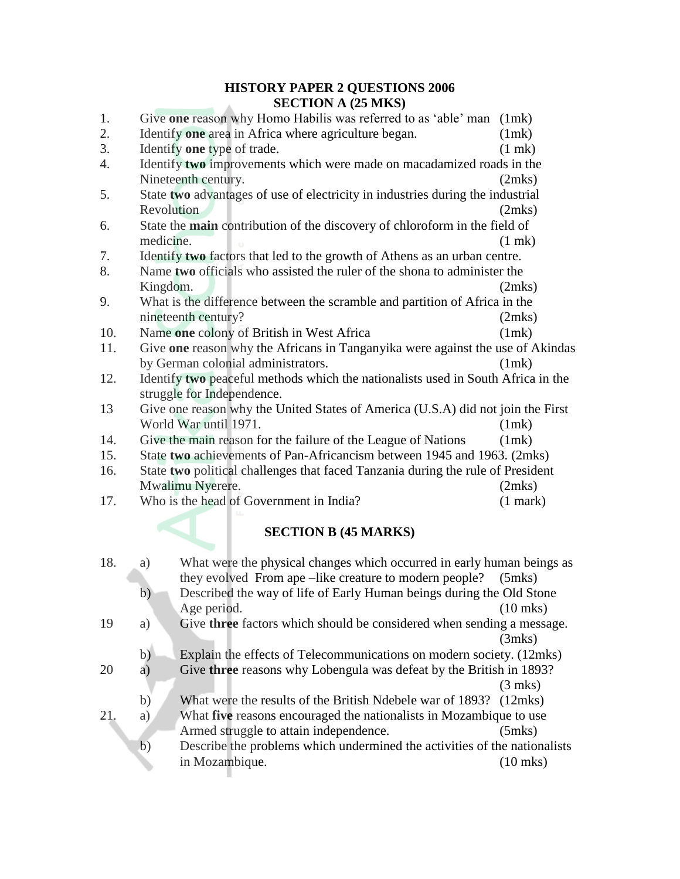#### **HISTORY PAPER 2 QUESTIONS 2006 SECTION A (25 MKS)**

| 1.                          | Give one reason why Homo Habilis was referred to as 'able' man (1mk)                                           |             |
|-----------------------------|----------------------------------------------------------------------------------------------------------------|-------------|
| 2.                          | Identify one area in Africa where agriculture began.                                                           | (1mk)       |
| 3.                          | Identify one type of trade.                                                                                    | $(1$ mk $)$ |
| 4.                          | Identify two improvements which were made on macadamized roads in the                                          |             |
|                             | Nineteenth century.                                                                                            | (2mks)      |
| 5.                          | State two advantages of use of electricity in industries during the industrial                                 |             |
|                             | Revolution                                                                                                     | (2mks)      |
| 6.                          | State the main contribution of the discovery of chloroform in the field of                                     |             |
|                             | medicine.                                                                                                      | $(1$ mk)    |
| 7.                          | Identify two factors that led to the growth of Athens as an urban centre.                                      |             |
| 8.                          | Name two officials who assisted the ruler of the shona to administer the                                       |             |
|                             | Kingdom.                                                                                                       | (2mks)      |
| 9.                          | What is the difference between the scramble and partition of Africa in the                                     |             |
|                             | nineteenth century?                                                                                            | (2mks)      |
| 10.                         | Name one colony of British in West Africa                                                                      | (1mk)       |
| 11.                         | Give one reason why the Africans in Tanganyika were against the use of Akindas                                 |             |
|                             | by German colonial administrators.                                                                             | (1mk)       |
| 12.                         | Identify two peaceful methods which the nationalists used in South Africa in the<br>struggle for Independence. |             |
| 13                          | Give one reason why the United States of America (U.S.A) did not join the First                                |             |
|                             | World War until 1971.                                                                                          | (1mk)       |
| 14.                         | Give the main reason for the failure of the League of Nations                                                  | (1mk)       |
| 15.                         | State two achievements of Pan-Africancism between 1945 and 1963. (2mks)                                        |             |
| 16.                         | State two political challenges that faced Tanzania during the rule of President                                |             |
|                             | Mwalimu Nyerere.                                                                                               | (2mks)      |
| 17.                         | Who is the head of Government in India?                                                                        | $(1$ mark)  |
|                             |                                                                                                                |             |
| <b>SECTION B (45 MARKS)</b> |                                                                                                                |             |

| 18. | a) | What were the physical changes which occurred in early human beings as    |                    |
|-----|----|---------------------------------------------------------------------------|--------------------|
|     |    | they evolved From ape –like creature to modern people?                    | $(5$ mks $)$       |
|     | b) | Described the way of life of Early Human beings during the Old Stone      |                    |
|     |    | Age period.                                                               | $(10$ mks)         |
| 19  | a) | Give three factors which should be considered when sending a message.     |                    |
|     |    |                                                                           | (3mks)             |
|     | b) | Explain the effects of Telecommunications on modern society. (12mks)      |                    |
| 20  | a  | Give three reasons why Lobengula was defeat by the British in 1893?       |                    |
|     |    |                                                                           | $(3$ mks)          |
|     | b) | What were the results of the British Ndebele war of 1893? (12mks)         |                    |
| 21. | a) | What five reasons encouraged the nationalists in Mozambique to use        |                    |
|     |    | Armed struggle to attain independence.                                    | $(5$ mks $)$       |
|     | b) | Describe the problems which undermined the activities of the nationalists |                    |
|     |    | in Mozambique.                                                            | $(10 \text{ mks})$ |
|     |    |                                                                           |                    |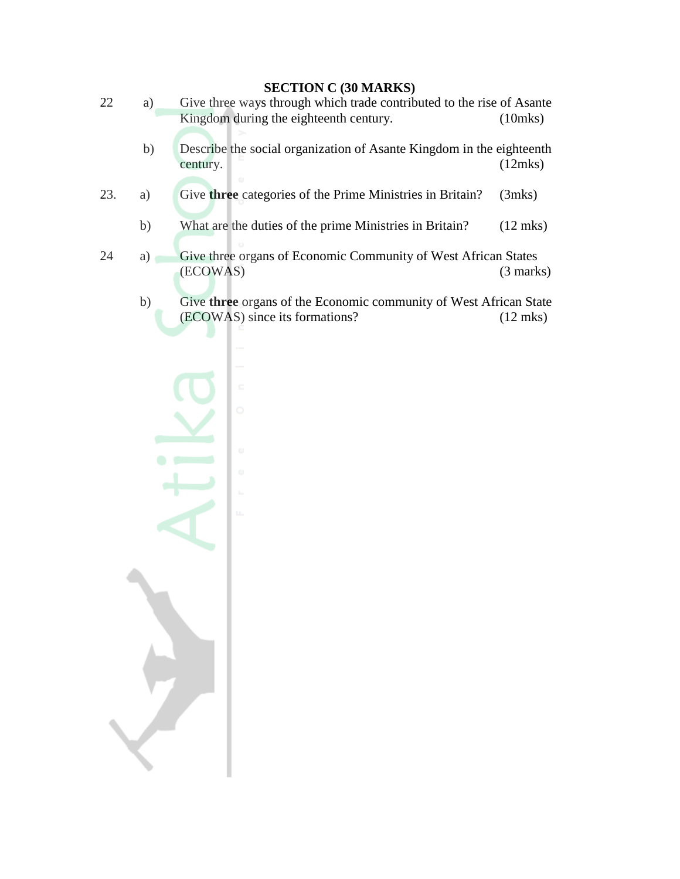# **SECTION C (30 MARKS)**

- 22 a) Give three ways through which trade contributed to the rise of Asante Kingdom during the eighteenth century. (10mks)
	- b) Describe the social organization of Asante Kingdom in the eighteenth century. (12mks)
- 23. a) Give **three** categories of the Prime Ministries in Britain? (3mks)
	- b) What are the duties of the prime Ministries in Britain? (12 mks)
- 24 a) Give three organs of Economic Community of West African States (ECOWAS) (3 marks)
	- b) Give **three** organs of the Economic community of West African State (ECOWAS) since its formations? (12 mks)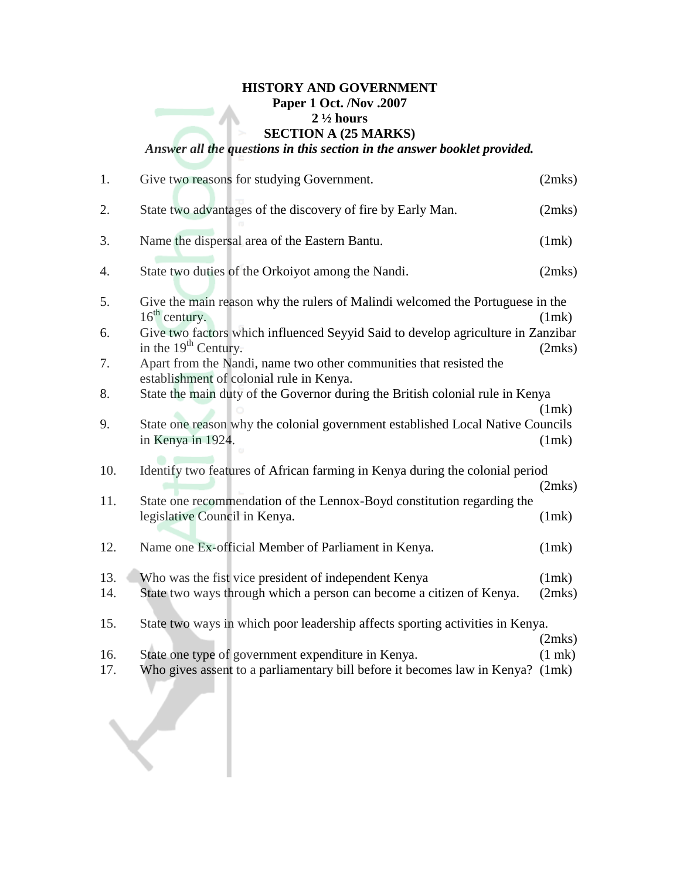# **HISTORY AND GOVERNMENT Paper 1 Oct. /Nov .2007 2 ½ hours SECTION A (25 MARKS)** *Answer all the questions in this section in the answer booklet provided.*

| 1.         | Give two reasons for studying Government.                                                                                            | (2mks)          |
|------------|--------------------------------------------------------------------------------------------------------------------------------------|-----------------|
| 2.         | State two advantages of the discovery of fire by Early Man.                                                                          | (2mks)          |
| 3.         | Name the dispersal area of the Eastern Bantu.                                                                                        | (1mk)           |
| 4.         | State two duties of the Orkoiyot among the Nandi.                                                                                    | (2mks)          |
| 5.         | Give the main reason why the rulers of Malindi welcomed the Portuguese in the<br>$16th$ century.                                     | (1mk)           |
| 6.         | Give two factors which influenced Seyyid Said to develop agriculture in Zanzibar<br>in the $19th$ Century.                           | (2mks)          |
| 7.         | Apart from the Nandi, name two other communities that resisted the<br>establishment of colonial rule in Kenya.                       |                 |
| 8.         | State the main duty of the Governor during the British colonial rule in Kenya                                                        | (1mk)           |
| 9.         | State one reason why the colonial government established Local Native Councils<br>in Kenya in 1924.                                  | (1mk)           |
| 10.        | Identify two features of African farming in Kenya during the colonial period                                                         | (2mks)          |
| 11.        | State one recommendation of the Lennox-Boyd constitution regarding the<br>legislative Council in Kenya.                              | (1mk)           |
| 12.        | Name one Ex-official Member of Parliament in Kenya.                                                                                  | (1mk)           |
| 13.<br>14. | Who was the fist vice president of independent Kenya<br>State two ways through which a person can become a citizen of Kenya.         | (1mk)<br>(2mks) |
| 15.        | State two ways in which poor leadership affects sporting activities in Kenya.                                                        | (2mks)          |
| 16.<br>17. | State one type of government expenditure in Kenya.<br>Who gives assent to a parliamentary bill before it becomes law in Kenya? (1mk) | $(1$ mk $)$     |

 $\sqrt{2}$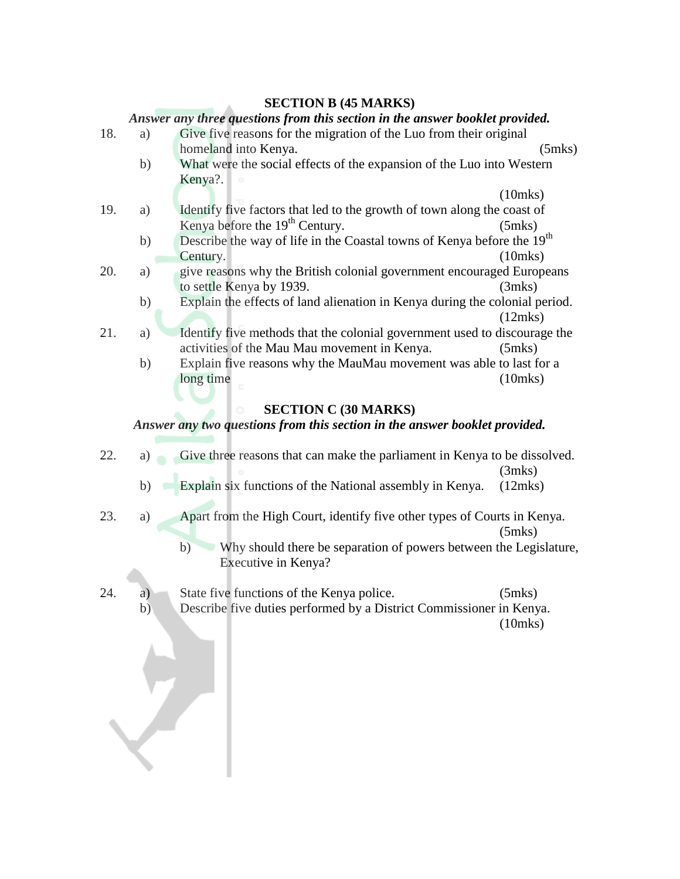#### **SECTION B (45 MARKS)**

#### *Answer any three questions from this section in the answer booklet provided.*

| 18. | a) | Give five reasons for the migration of the Luo from their original                 |               |  |
|-----|----|------------------------------------------------------------------------------------|---------------|--|
|     |    | homeland into Kenya.                                                               | $(5$ mks $)$  |  |
|     | b) | What were the social effects of the expansion of the Luo into Western              |               |  |
|     |    | Kenya?.                                                                            |               |  |
|     |    |                                                                                    | $(10$ mks $)$ |  |
| 19. | a) | Identify five factors that led to the growth of town along the coast of            |               |  |
|     |    | Kenya before the 19 <sup>th</sup> Century.                                         | $(5$ mks $)$  |  |
|     | b) | Describe the way of life in the Coastal towns of Kenya before the 19 <sup>th</sup> |               |  |
|     |    | Century.                                                                           | $(10$ mks $)$ |  |
| 20. | a) | give reasons why the British colonial government encouraged Europeans              |               |  |
|     |    | to settle Kenya by 1939.                                                           | (3mks)        |  |
|     | b) | Explain the effects of land alienation in Kenya during the colonial period.        |               |  |
|     |    |                                                                                    | (12mks)       |  |
| 21. | a) | Identify five methods that the colonial government used to discourage the          |               |  |
|     |    | activities of the Mau Mau movement in Kenya.                                       | $(5$ mks $)$  |  |
|     | b) | Explain five reasons why the MauMau movement was able to last for a                |               |  |
|     |    | long time                                                                          | $(10$ mks $)$ |  |
|     |    |                                                                                    |               |  |
|     |    |                                                                                    |               |  |

#### **SECTION C (30 MARKS)**

## *Answer any two questions from this section in the answer booklet provided.*

- 22. a) Give three reasons that can make the parliament in Kenya to be dissolved. (3mks)
	- b) Explain six functions of the National assembly in Kenya. (12mks)
- 23. a) Apart from the High Court, identify five other types of Courts in Kenya. (5mks)
	- b) Why should there be separation of powers between the Legislature, Executive in Kenya?
- 24. a) State five functions of the Kenya police. (5mks) b) Describe five duties performed by a District Commissioner in Kenya. (10mks)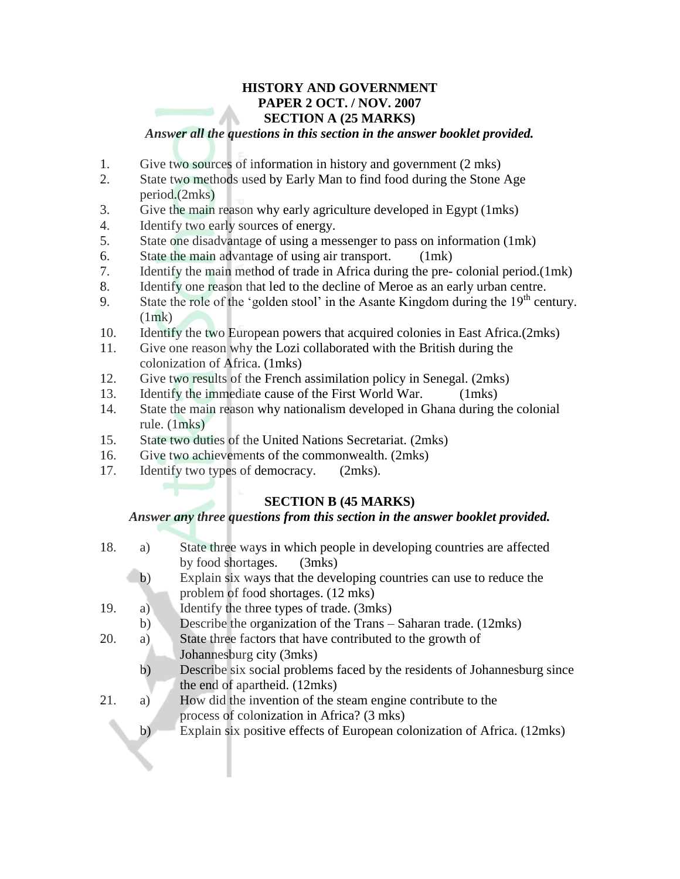# **HISTORY AND GOVERNMENT PAPER 2 OCT. / NOV. 2007 SECTION A (25 MARKS)**

#### *Answer all the questions in this section in the answer booklet provided.*

- 1. Give two sources of information in history and government (2 mks)
- 2. State two methods used by Early Man to find food during the Stone Age period.(2mks)
- 3. Give the main reason why early agriculture developed in Egypt (1mks)
- 4. Identify two early sources of energy.
- 5. State one disadvantage of using a messenger to pass on information (1mk)
- 6. State the main advantage of using air transport. (1mk)
- 7. Identify the main method of trade in Africa during the pre- colonial period.(1mk)
- 8. Identify one reason that led to the decline of Meroe as an early urban centre.
- 9. State the role of the 'golden stool' in the Asante Kingdom during the  $19<sup>th</sup>$  century.  $(1mk)$
- 10. Identify the two European powers that acquired colonies in East Africa.(2mks)
- 11. Give one reason why the Lozi collaborated with the British during the colonization of Africa. (1mks)
- 12. Give two results of the French assimilation policy in Senegal. (2mks)
- 13. Identify the immediate cause of the First World War. (1mks)
- 14. State the main reason why nationalism developed in Ghana during the colonial rule. (1mks)
- 15. State two duties of the United Nations Secretariat. (2mks)
- 16. Give two achievements of the commonwealth. (2mks)
- 17. Identify two types of democracy. (2mks).

# **SECTION B (45 MARKS)**

## *Answer any three questions from this section in the answer booklet provided.*

| 18. | a)           | State three ways in which people in developing countries are affected<br>by food shortages.<br>(3mks)       |
|-----|--------------|-------------------------------------------------------------------------------------------------------------|
|     | b)           | Explain six ways that the developing countries can use to reduce the<br>problem of food shortages. (12 mks) |
| 19. | a)           | Identify the three types of trade. (3mks)                                                                   |
|     | b)           | Describe the organization of the Trans – Saharan trade. (12mks)                                             |
| 20. | a)           | State three factors that have contributed to the growth of<br>Johannesburg city (3mks)                      |
|     | $\mathbf{b}$ | Describe six social problems faced by the residents of Johannesburg since<br>the end of apartheid. (12mks)  |
| 21. | a)           | How did the invention of the steam engine contribute to the<br>process of colonization in Africa? (3 mks)   |
|     | b)           | Explain six positive effects of European colonization of Africa. (12mks)                                    |
|     |              |                                                                                                             |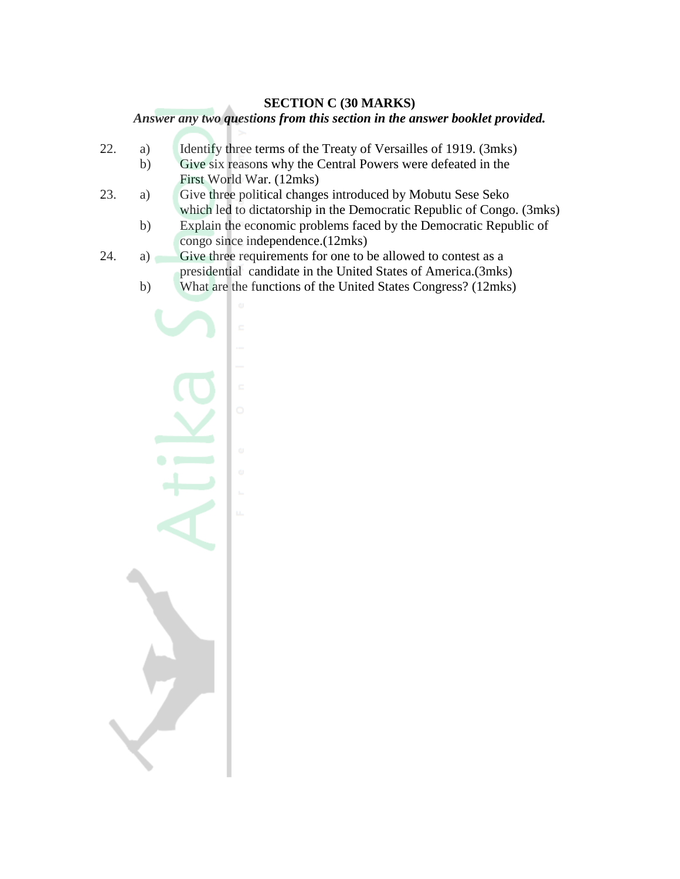#### **SECTION C (30 MARKS)**

#### *Answer any two questions from this section in the answer booklet provided.*

- 22. a) Identify three terms of the Treaty of Versailles of 1919. (3mks)
	- b) Give six reasons why the Central Powers were defeated in the First World War. (12mks)
- 23. a) Give three political changes introduced by Mobutu Sese Seko which led to dictatorship in the Democratic Republic of Congo. (3mks)
	- b) Explain the economic problems faced by the Democratic Republic of congo since independence.(12mks)
- 24. a) Give three requirements for one to be allowed to contest as a presidential candidate in the United States of America.(3mks)
	- b) What are the functions of the United States Congress? (12mks)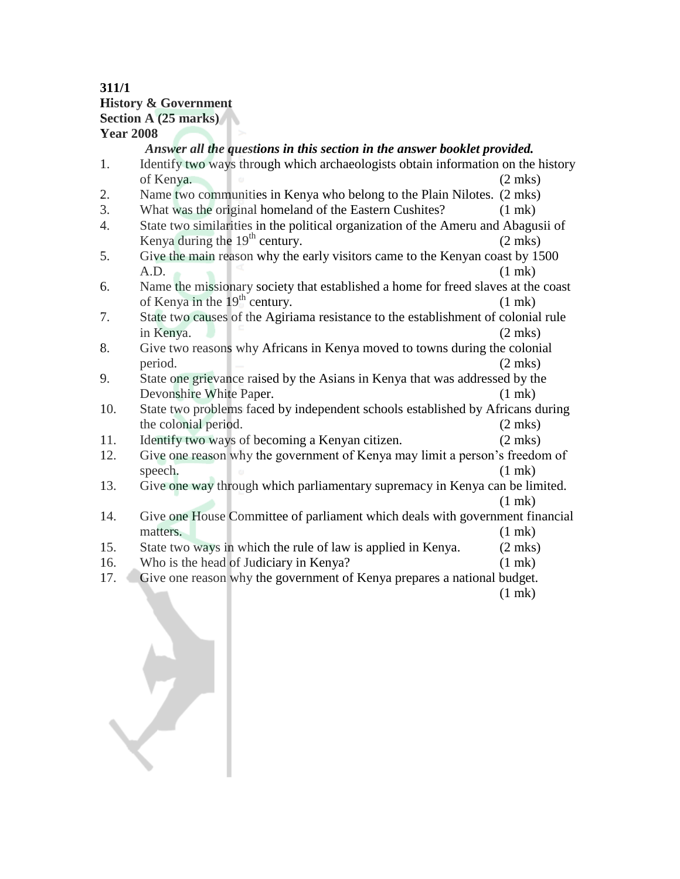## **311/1 History & Government Section A (25 marks) Year 2008**

# *Answer all the questions in this section in the answer booklet provided.*

- 1. Identify two ways through which archaeologists obtain information on the history of Kenya. (2 mks)
- 2. Name two communities in Kenya who belong to the Plain Nilotes. (2 mks)
- 3. What was the original homeland of the Eastern Cushites? (1 mk) 4. State two similarities in the political organization of the Ameru and Abagusii of Kenya during the  $19<sup>th</sup>$  century. (2 mks)
- 5. Give the main reason why the early visitors came to the Kenyan coast by 1500  $A.D.$  (1 mk)
- 6. Name the missionary society that established a home for freed slaves at the coast of Kenya in the  $19<sup>th</sup>$  century. (1 mk)
- 7. State two causes of the Agiriama resistance to the establishment of colonial rule in Kenya. (2 mks)
- 8. Give two reasons why Africans in Kenya moved to towns during the colonial period. (2 mks)
- 9. State one grievance raised by the Asians in Kenya that was addressed by the Devonshire White Paper. (1 mk)
- 10. State two problems faced by independent schools established by Africans during the colonial period. (2 mks)
- 11. Identify two ways of becoming a Kenyan citizen. (2 mks)
- 12. Give one reason why the government of Kenya may limit a person"s freedom of speech. (1 mk)
- 13. Give one way through which parliamentary supremacy in Kenya can be limited. (1 mk)
- 14. Give one House Committee of parliament which deals with government financial matters. (1 mk)
- 15. State two ways in which the rule of law is applied in Kenya. (2 mks)
- 16. Who is the head of Judiciary in Kenya? (1 mk)
- 17. Give one reason why the government of Kenya prepares a national budget. (1 mk)

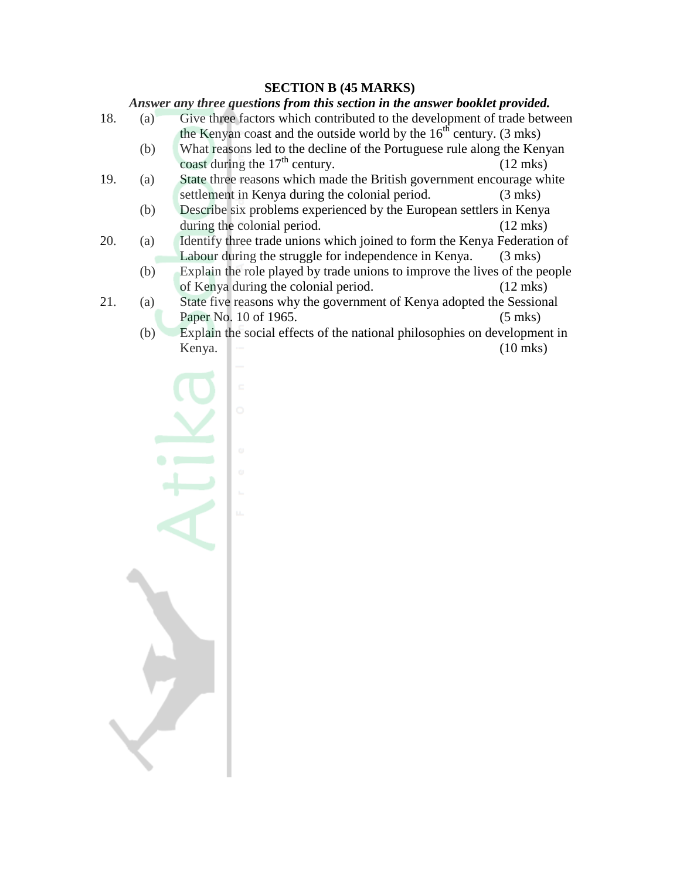## **SECTION B (45 MARKS)**

#### *Answer any three questions from this section in the answer booklet provided.*

- 18. (a) Give three factors which contributed to the development of trade between the Kenyan coast and the outside world by the  $16<sup>th</sup>$  century. (3 mks)
	- (b) What reasons led to the decline of the Portuguese rule along the Kenyan coast during the  $17<sup>th</sup>$  century. (12 mks)
- 19. (a) State three reasons which made the British government encourage white settlement in Kenya during the colonial period. (3 mks)
	- (b) Describe six problems experienced by the European settlers in Kenya during the colonial period. (12 mks)
- 20. (a) Identify three trade unions which joined to form the Kenya Federation of Labour during the struggle for independence in Kenya. (3 mks)
	- (b) Explain the role played by trade unions to improve the lives of the people of Kenya during the colonial period. (12 mks)
- 21. (a) State five reasons why the government of Kenya adopted the Sessional Paper No. 10 of 1965. (5 mks)
	- (b) Explain the social effects of the national philosophies on development in Kenya.  $\blacksquare$  (10 mks)

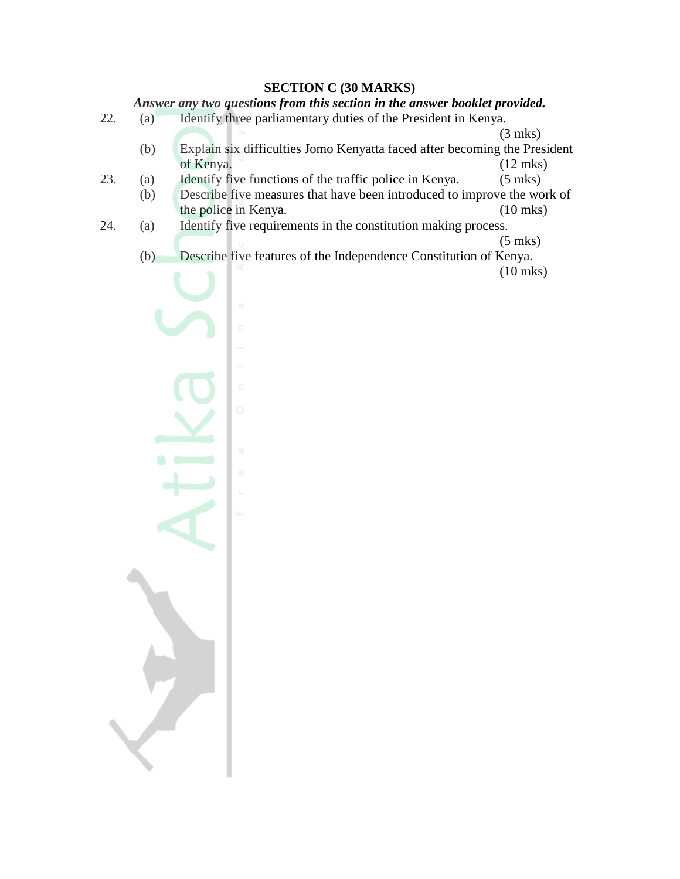#### **SECTION C (30 MARKS)**

*Answer any two questions from this section in the answer booklet provided.*

- 22. (a) Identify three parliamentary duties of the President in Kenya.
	- (3 mks) (b) Explain six difficulties Jomo Kenyatta faced after becoming the President of Kenya. (12 mks)
- 23. (a) Identify five functions of the traffic police in Kenya. (5 mks)
- (b) Describe five measures that have been introduced to improve the work of the police in Kenya. (10 mks)
- 24. (a) Identify five requirements in the constitution making process.

(5 mks)

(b) Describe five features of the Independence Constitution of Kenya.

(10 mks)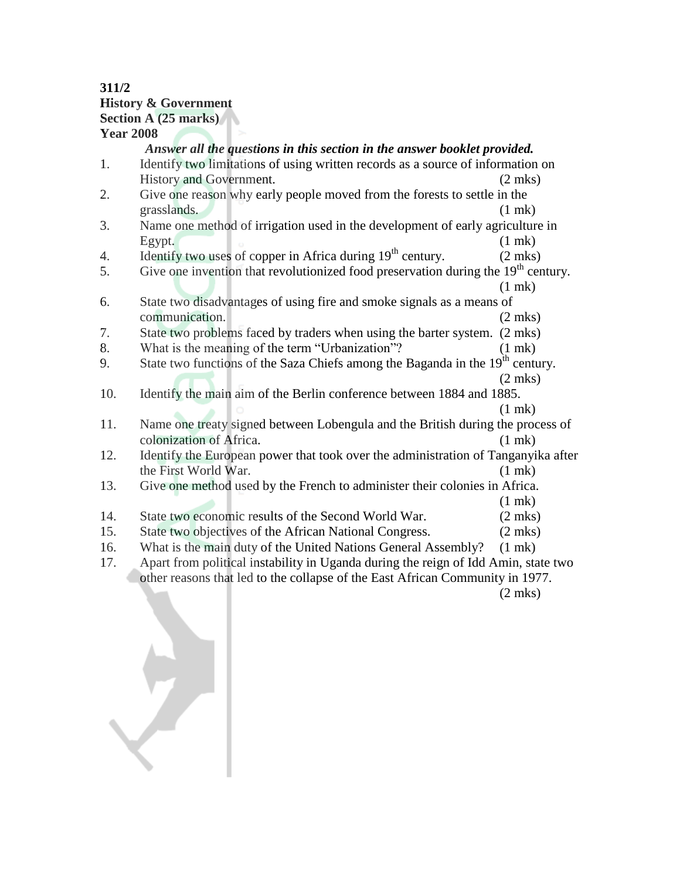#### **311/2 History & Government Section A (25 marks) Year 2008**

# *Answer all the questions in this section in the answer booklet provided.*

- 1. Identify two limitations of using written records as a source of information on History and Government. (2 mks)
- 2. Give one reason why early people moved from the forests to settle in the grasslands. (1 mk)
- 3. Name one method of irrigation used in the development of early agriculture in Egypt. (1 mk)
- 4. Identify two uses of copper in Africa during  $19<sup>th</sup>$  century. (2 mks)
- 5. Give one invention that revolutionized food preservation during the  $19<sup>th</sup>$  century.
- (1 mk) 6. State two disadvantages of using fire and smoke signals as a means of communication. (2 mks)
- 7. State two problems faced by traders when using the barter system. (2 mks)
- 8. What is the meaning of the term "Urbanization"? (1 mk)
- 9. State two functions of the Saza Chiefs among the Baganda in the  $19<sup>th</sup>$  century. (2 mks)
- 10. Identify the main aim of the Berlin conference between 1884 and 1885.
- (1 mk) 11. Name one treaty signed between Lobengula and the British during the process of colonization of Africa. (1 mk)
- 12. Identify the European power that took over the administration of Tanganyika after the First World War. (1 mk)
- 13. Give one method used by the French to administer their colonies in Africa.

(1 mk)

- 14. State two economic results of the Second World War. (2 mks)
- 15. State two objectives of the African National Congress. (2 mks)
- 16. What is the main duty of the United Nations General Assembly? (1 mk)
- 17. Apart from political instability in Uganda during the reign of Idd Amin, state two other reasons that led to the collapse of the East African Community in 1977.

(2 mks)

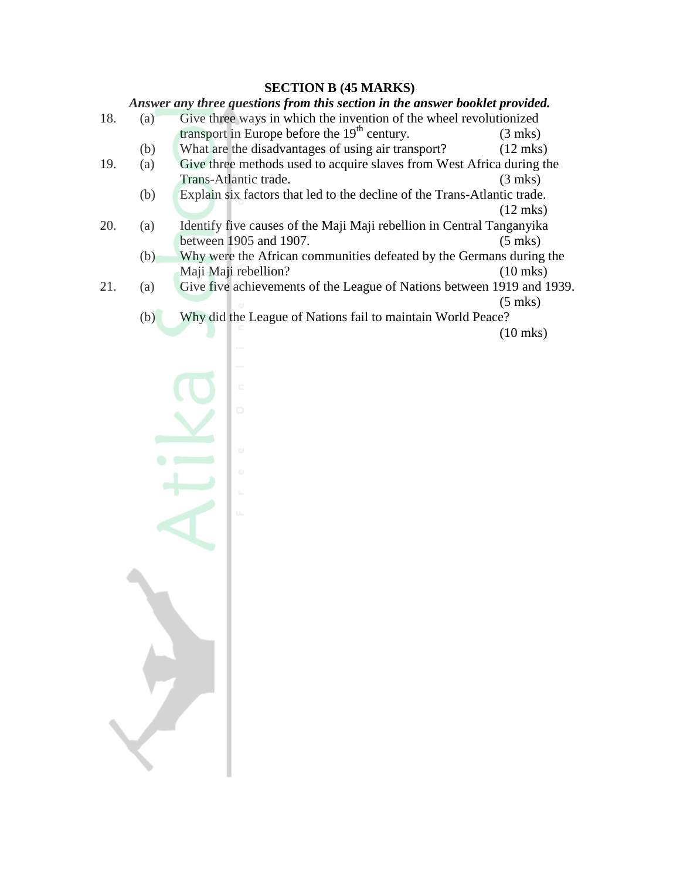#### **SECTION B (45 MARKS)**

*Answer any three questions from this section in the answer booklet provided.* 18. (a) Give three ways in which the invention of the wheel revolutionized transport in Europe before the  $19<sup>th</sup>$  century. (3 mks) (b) What are the disadvantages of using air transport? (12 mks) 19. (a) Give three methods used to acquire slaves from West Africa during the Trans-Atlantic trade. (3 mks) (b) Explain six factors that led to the decline of the Trans-Atlantic trade. (12 mks) 20. (a) Identify five causes of the Maji Maji rebellion in Central Tanganyika between 1905 and 1907. (5 mks) (b) Why were the African communities defeated by the Germans during the Maji Maji rebellion? (10 mks) 21. (a) Give five achievements of the League of Nations between 1919 and 1939. (5 mks) (b) Why did the League of Nations fail to maintain World Peace? (10 mks)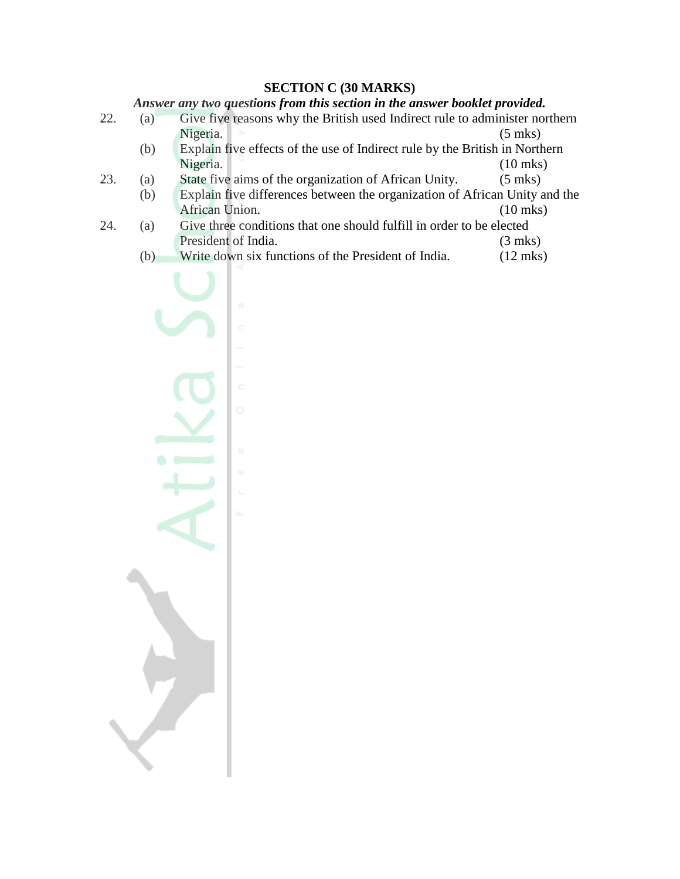#### **SECTION C (30 MARKS)**

*Answer any two questions from this section in the answer booklet provided.*

- 22. (a) Give five reasons why the British used Indirect rule to administer northern Nigeria. (5 mks)
	- (b) Explain five effects of the use of Indirect rule by the British in Northern Nigeria.
- 23. (a) State five aims of the organization of African Unity. (5 mks)
- (b) Explain five differences between the organization of African Unity and the African Union. (10 mks)
- 24. (a) Give three conditions that one should fulfill in order to be elected President of India. (3 mks)
	- (b) Write down six functions of the President of India. (12 mks)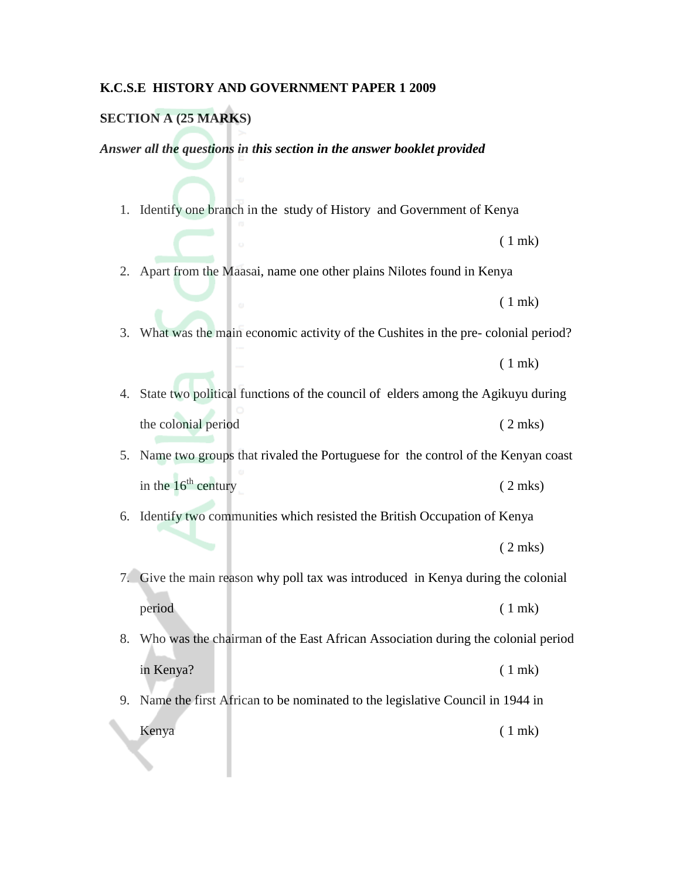#### **K.C.S.E HISTORY AND GOVERNMENT PAPER 1 2009**

#### **SECTION A (25 MARKS)**

*Answer all the questions in this section in the answer booklet provided*

1. Identify one branch in the study of History and Government of Kenya

( 1 mk)

2. Apart from the Maasai, name one other plains Nilotes found in Kenya

( 1 mk)

3. What was the main economic activity of the Cushites in the pre- colonial period?

( 1 mk)

4. State two political functions of the council of elders among the Agikuyu during the colonial period ( 2 mks)

5. Name two groups that rivaled the Portuguese for the control of the Kenyan coast in the  $16^{\text{th}}$  century ( 2 mks)

6. Identify two communities which resisted the British Occupation of Kenya ( 2 mks)

7. Give the main reason why poll tax was introduced in Kenya during the colonial period (1 mk)

8. Who was the chairman of the East African Association during the colonial period in Kenya? ( 1 mk)

9. Name the first African to be nominated to the legislative Council in 1944 in Kenya (1 mk)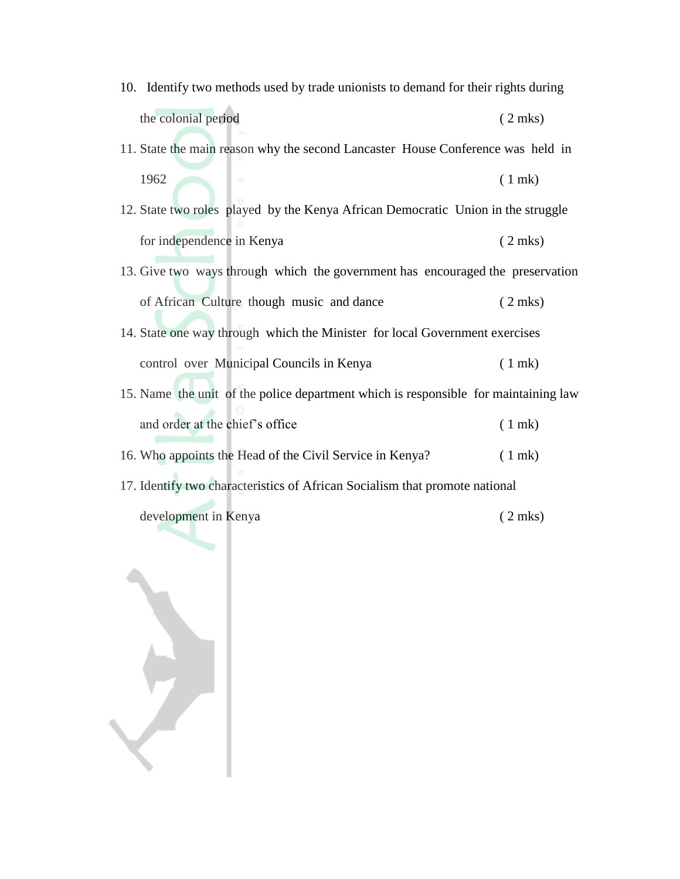- 10. Identify two methods used by trade unionists to demand for their rights during the colonial period ( 2 mks)
- 11. State the main reason why the second Lancaster House Conference was held in 1962 ( 1 mk)
- 12. State two roles played by the Kenya African Democratic Union in the struggle for independence in Kenya ( 2 mks)
- 13. Give two ways through which the government has encouraged the preservation of African Culture though music and dance ( 2 mks)
- 14. State one way through which the Minister for local Government exercises control over Municipal Councils in Kenya ( 1 mk)
- 15. Name the unit of the police department which is responsible for maintaining law and order at the chief's office (1 mk)
- 16. Who appoints the Head of the Civil Service in Kenya? ( 1 mk)
- 17. Identify two characteristics of African Socialism that promote national

development in Kenya ( 2 mks)

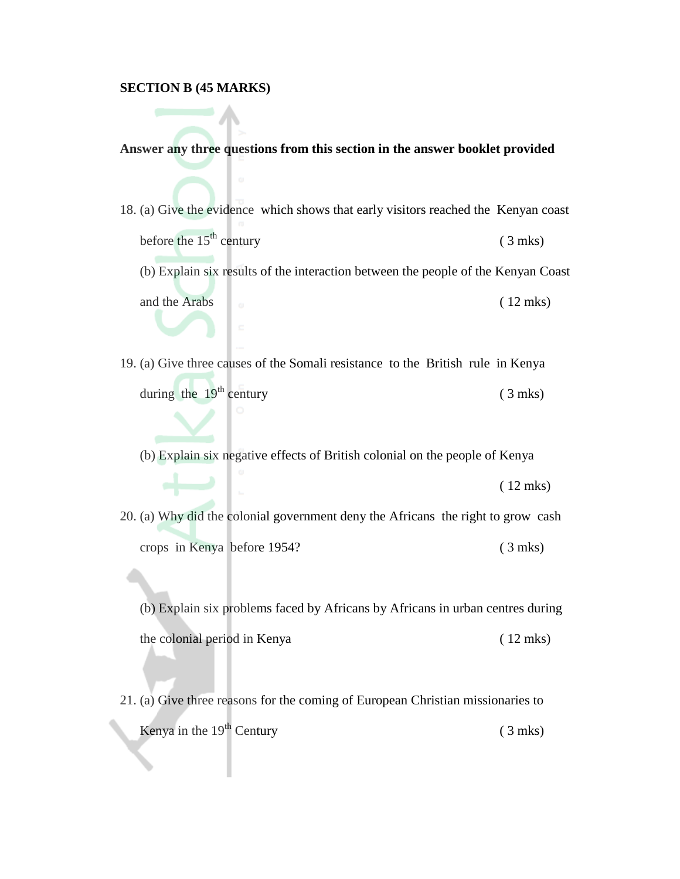#### **SECTION B (45 MARKS)**

#### **Answer any three questions from this section in the answer booklet provided**

- 18. (a) Give the evidence which shows that early visitors reached the Kenyan coast before the  $15<sup>th</sup>$  century (3 mks)
	- (b) Explain six results of the interaction between the people of the Kenyan Coast and the Arabs (12 mks)
- 19. (a) Give three causes of the Somali resistance to the British rule in Kenya during the  $19^{th}$  century (3 mks)
	- (b) Explain six negative effects of British colonial on the people of Kenya

( 12 mks)

20. (a) Why did the colonial government deny the Africans the right to grow cash crops in Kenya before 1954? ( 3 mks)

(b) Explain six problems faced by Africans by Africans in urban centres during the colonial period in Kenya ( 12 mks)

21. (a) Give three reasons for the coming of European Christian missionaries to Kenya in the  $19<sup>th</sup>$  Century (3 mks)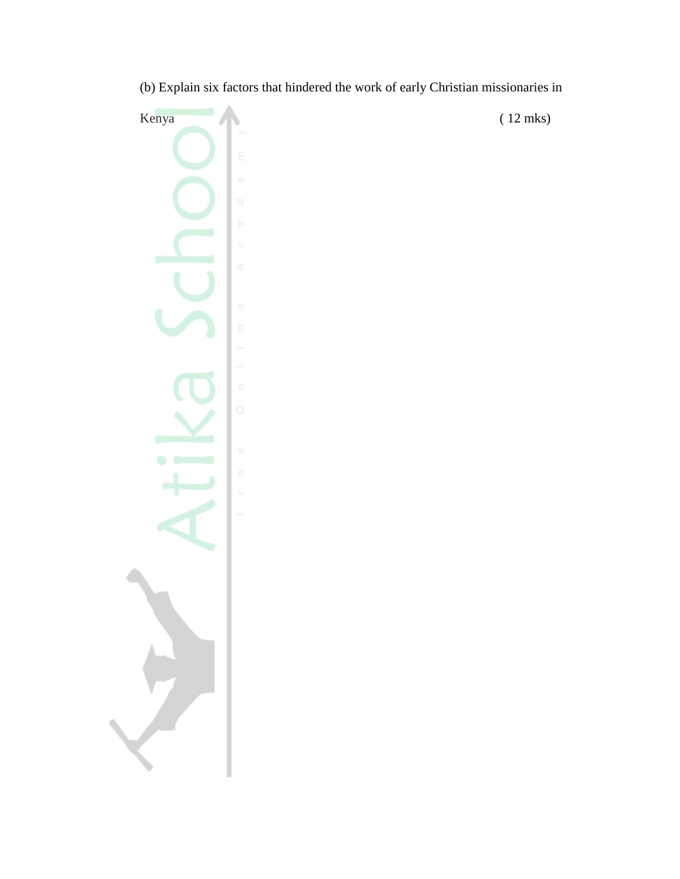Kenya (12 mks)

(b) Explain six factors that hindered the work of early Christian missionaries in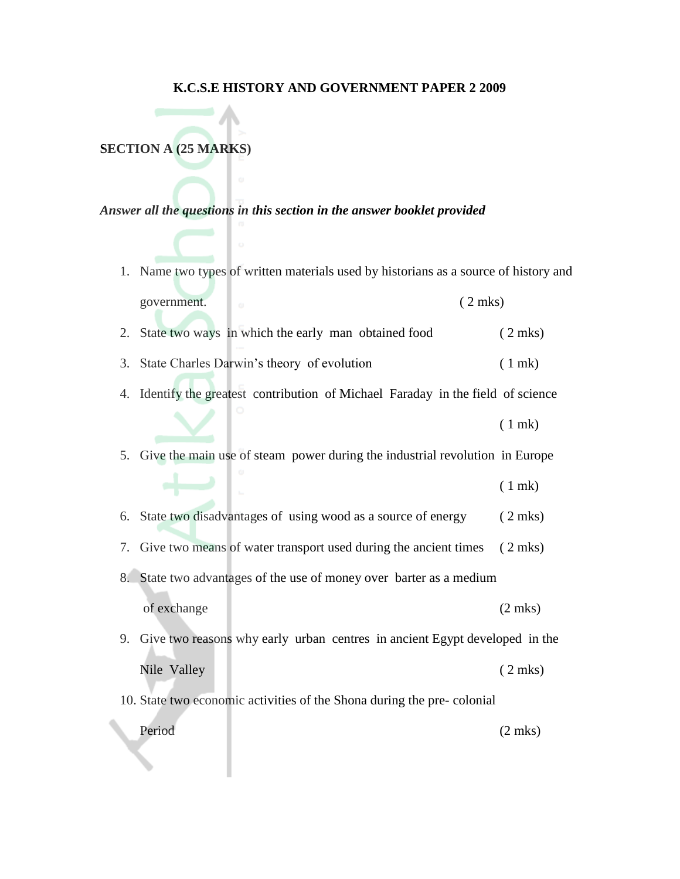#### **K.C.S.E HISTORY AND GOVERNMENT PAPER 2 2009**

**SECTION A (25 MARKS)**

*Answer all the questions in this section in the answer booklet provided*

- 1. Name two types of written materials used by historians as a source of history and government. ( 2 mks)
- 2. State two ways in which the early man obtained food (2 mks)
- 3. State Charles Darwin"s theory of evolution ( 1 mk)
- 4. Identify the greatest contribution of Michael Faraday in the field of science
	- ( 1 mk)

5. Give the main use of steam power during the industrial revolution in Europe

- ( 1 mk)
- 6. State two disadvantages of using wood as a source of energy ( 2 mks)
- 7. Give two means of water transport used during the ancient times ( 2 mks)
- 8. State two advantages of the use of money over barter as a medium
	- of exchange (2 mks)
- 9. Give two reasons why early urban centres in ancient Egypt developed in the Nile Valley (2 mks)
- 10. State two economic activities of the Shona during the pre- colonial Period (2 mks)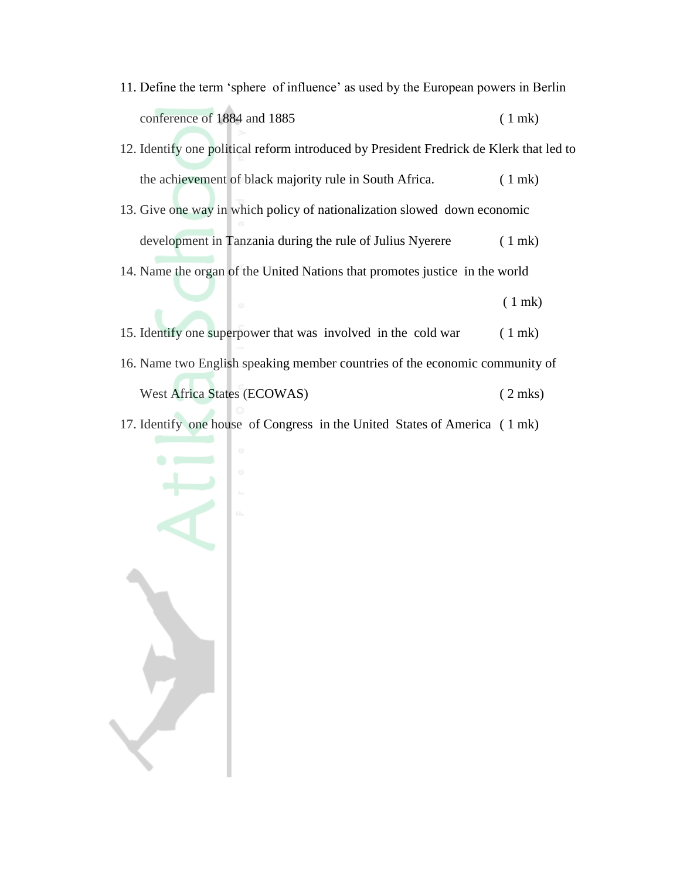- 11. Define the term "sphere of influence" as used by the European powers in Berlin conference of 1884 and 1885 (1 mk)
- 12. Identify one political reform introduced by President Fredrick de Klerk that led to the achievement of black majority rule in South Africa. (1 mk)
- 13. Give one way in which policy of nationalization slowed down economic development in Tanzania during the rule of Julius Nyerere (1 mk)
- 14. Name the organ of the United Nations that promotes justice in the world

( 1 mk)

- 15. Identify one superpower that was involved in the cold war ( 1 mk) 16. Name two English speaking member countries of the economic community of West Africa States (ECOWAS) (2 mks)
- 17. Identify one house of Congress in the United States of America ( 1 mk)

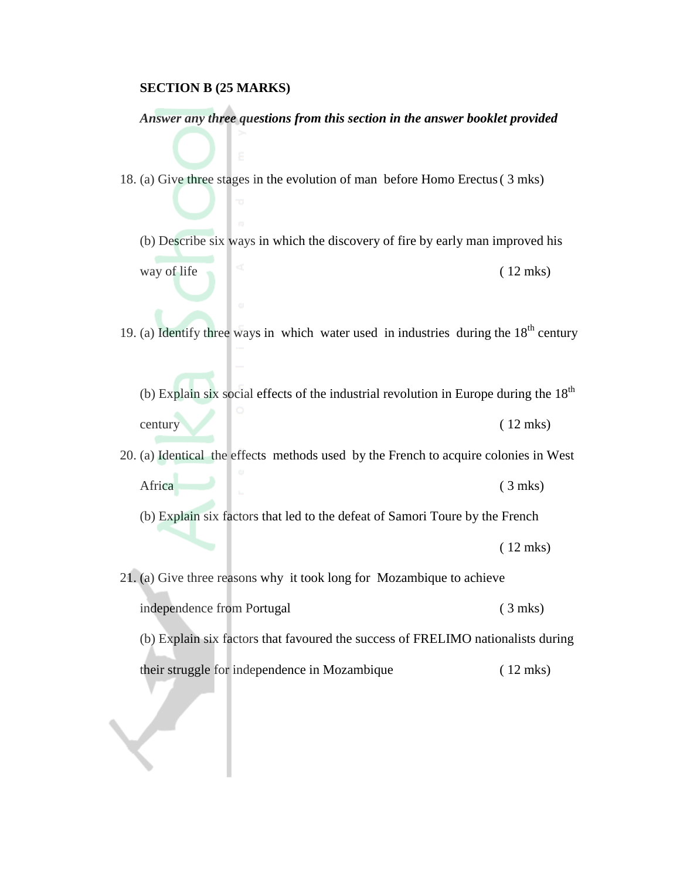#### **SECTION B (25 MARKS)**

#### *Answer any three questions from this section in the answer booklet provided*

18. (a) Give three stages in the evolution of man before Homo Erectus( 3 mks)

(b) Describe six ways in which the discovery of fire by early man improved his way of life  $(12 \text{ mks})$ 

19. (a) Identify three ways in which water used in industries during the  $18<sup>th</sup>$  century

(b) Explain six social effects of the industrial revolution in Europe during the  $18<sup>th</sup>$ century (12 mks)

20. (a) Identical the effects methods used by the French to acquire colonies in West Africa (3 mks)

(b) Explain six factors that led to the defeat of Samori Toure by the French

( 12 mks)

21. (a) Give three reasons why it took long for Mozambique to achieve independence from Portugal (3 mks) (b) Explain six factors that favoured the success of FRELIMO nationalists during

their struggle for independence in Mozambique ( 12 mks)